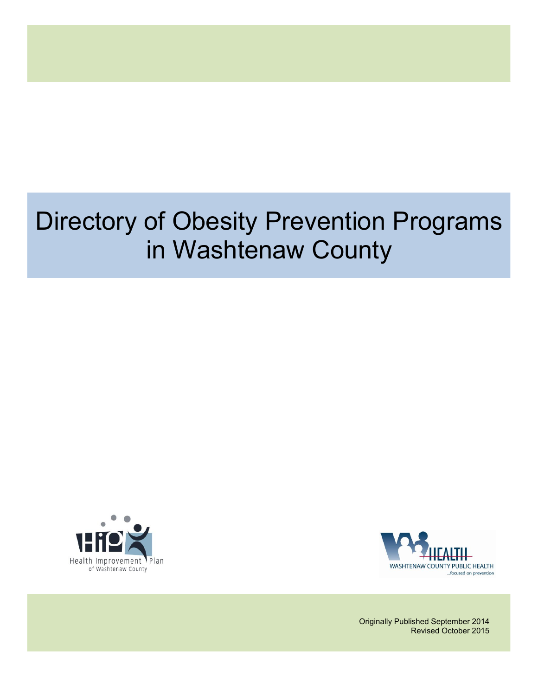# Directory of Obesity Prevention Programs in Washtenaw County





Originally Published September 2014 Revised October 2015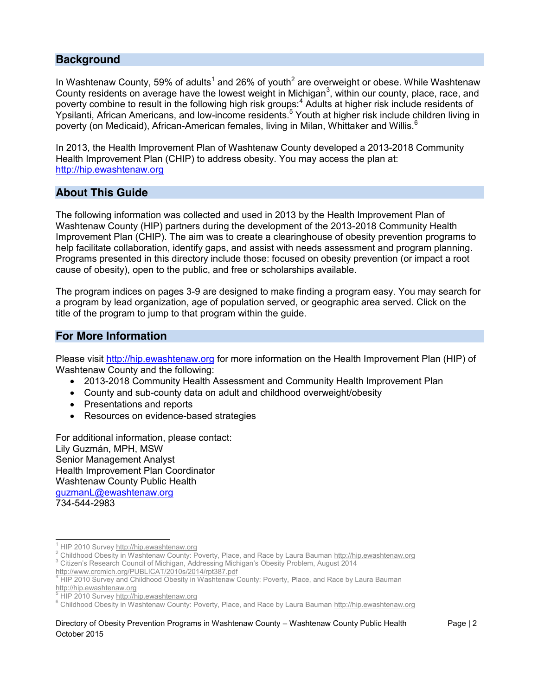### **Background**

In Washtenaw County, 59% of adults<sup>1</sup> and 26% of youth<sup>2</sup> are overweight or obese. While Washtenaw County residents on average have the lowest weight in Michigan<sup>3</sup>, within our county, place, race, and poverty combine to result in the following high risk groups:<sup>4</sup> Adults at higher risk include residents of Ypsilanti, African Americans, and low-income residents.<sup>5</sup> Youth at higher risk include children living in poverty (on Medicaid), African-American females, living in Milan, Whittaker and Willis.<sup>6</sup>

In 2013, the Health Improvement Plan of Washtenaw County developed a 2013-2018 Community Health Improvement Plan (CHIP) to address obesity. You may access the plan at: [http://hip.ewashtenaw.org](http://hip.ewashtenaw.org/)

#### **About This Guide**

The following information was collected and used in 2013 by the Health Improvement Plan of Washtenaw County (HIP) partners during the development of the 2013-2018 Community Health Improvement Plan (CHIP). The aim was to create a clearinghouse of obesity prevention programs to help facilitate collaboration, identify gaps, and assist with needs assessment and program planning. Programs presented in this directory include those: focused on obesity prevention (or impact a root cause of obesity), open to the public, and free or scholarships available.

The program indices on pages 3-9 are designed to make finding a program easy. You may search for a program by lead organization, age of population served, or geographic area served. Click on the title of the program to jump to that program within the guide.

#### **For More Information**

Please visit [http://hip.ewashtenaw.org](http://hip.ewashtenaw.org/) for more information on the Health Improvement Plan (HIP) of Washtenaw County and the following:

- 2013-2018 Community Health Assessment and Community Health Improvement Plan
- County and sub-county data on adult and childhood overweight/obesity
- Presentations and reports
- Resources on evidence-based strategies

For additional information, please contact: Lily Guzmán, MPH, MSW Senior Management Analyst Health Improvement Plan Coordinator Washtenaw County Public Health [guzmanL@ewashtenaw.org](mailto:guzmanL@ewashtenaw.org) 734-544-2983

<sup>&</sup>lt;sup>1</sup> HIP 2010 Survey [http://hip.ewashtenaw.org](http://hip.ewashtenaw.org/)<br>
<sup>2</sup> Childhood Obesity in Washtenaw County: Poverty, Place, and Race by Laura Bauman http://hip.ewashtenaw.org<br>
<sup>3</sup> Citizen's Research Council of Michigan, Addressing Michigan'

HIP 2010 Survey and Childhood Obesity in Washtenaw County: Poverty, Place, and Race by Laura Bauman [http://hip.ewashtenaw.org](http://hip.ewashtenaw.org/)<br>
HIP 2010 Survey http://hip.ewashtenaw.org

<sup>&</sup>lt;sup>6</sup> Childhood Obesity in Washtenaw County: Poverty, Place, and Race by Laura Bauman [http://hip.ewashtenaw.org](http://hip.ewashtenaw.org/)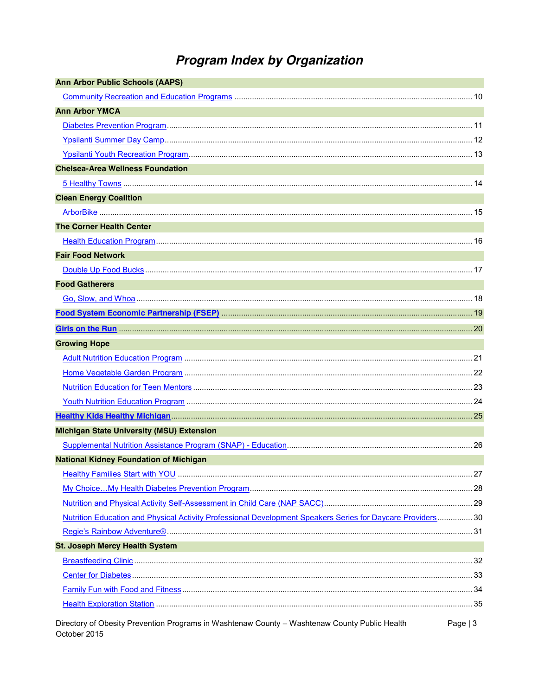# **Program Index by Organization**

| <b>Ann Arbor Public Schools (AAPS)</b>                                                                        |           |
|---------------------------------------------------------------------------------------------------------------|-----------|
|                                                                                                               |           |
| <b>Ann Arbor YMCA</b>                                                                                         |           |
|                                                                                                               |           |
|                                                                                                               |           |
|                                                                                                               |           |
| <b>Chelsea-Area Wellness Foundation</b>                                                                       |           |
|                                                                                                               |           |
| <b>Clean Energy Coalition</b>                                                                                 |           |
|                                                                                                               |           |
| <b>The Corner Health Center</b>                                                                               |           |
|                                                                                                               |           |
| <b>Fair Food Network</b>                                                                                      |           |
|                                                                                                               |           |
| <b>Food Gatherers</b>                                                                                         |           |
|                                                                                                               |           |
|                                                                                                               |           |
|                                                                                                               |           |
| <b>Growing Hope</b>                                                                                           |           |
|                                                                                                               |           |
|                                                                                                               |           |
|                                                                                                               |           |
|                                                                                                               |           |
|                                                                                                               |           |
| <b>Michigan State University (MSU) Extension</b>                                                              |           |
|                                                                                                               |           |
| <b>National Kidney Foundation of Michigan</b>                                                                 |           |
|                                                                                                               |           |
|                                                                                                               |           |
|                                                                                                               |           |
| Nutrition Education and Physical Activity Professional Development Speakers Series for Daycare Providers 30   |           |
|                                                                                                               |           |
| <b>St. Joseph Mercy Health System</b>                                                                         |           |
|                                                                                                               |           |
|                                                                                                               |           |
|                                                                                                               |           |
|                                                                                                               |           |
| Directory of Obesity Prevention Programs in Washtenaw County - Washtenaw County Public Health<br>October 2015 | Page $ 3$ |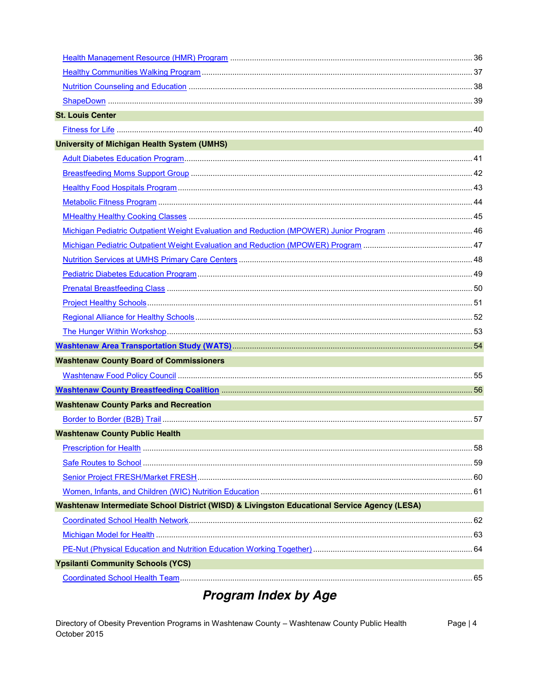| <b>St. Louis Center</b>                                                                      |  |
|----------------------------------------------------------------------------------------------|--|
|                                                                                              |  |
| <b>University of Michigan Health System (UMHS)</b><br><b>CONTRACTOR</b>                      |  |
|                                                                                              |  |
|                                                                                              |  |
|                                                                                              |  |
|                                                                                              |  |
|                                                                                              |  |
|                                                                                              |  |
|                                                                                              |  |
|                                                                                              |  |
|                                                                                              |  |
|                                                                                              |  |
|                                                                                              |  |
|                                                                                              |  |
|                                                                                              |  |
|                                                                                              |  |
| <b>Washtenaw County Board of Commissioners</b>                                               |  |
|                                                                                              |  |
|                                                                                              |  |
| <b>Washtenaw County Parks and Recreation</b>                                                 |  |
|                                                                                              |  |
| <b>Washtenaw County Public Health</b>                                                        |  |
|                                                                                              |  |
|                                                                                              |  |
|                                                                                              |  |
|                                                                                              |  |
| Washtenaw Intermediate School District (WISD) & Livingston Educational Service Agency (LESA) |  |
|                                                                                              |  |
|                                                                                              |  |
|                                                                                              |  |
| <b>Ypsilanti Community Schools (YCS)</b>                                                     |  |
|                                                                                              |  |
|                                                                                              |  |

# **Program Index by Age**

Directory of Obesity Prevention Programs in Washtenaw County - Washtenaw County Public Health Page | 4 October 2015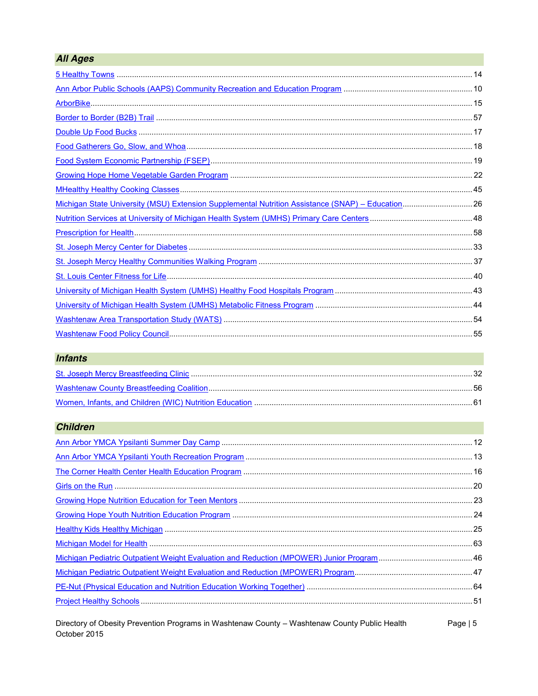| <b>All Ages</b>                                                                                   |  |
|---------------------------------------------------------------------------------------------------|--|
|                                                                                                   |  |
|                                                                                                   |  |
|                                                                                                   |  |
|                                                                                                   |  |
|                                                                                                   |  |
|                                                                                                   |  |
|                                                                                                   |  |
|                                                                                                   |  |
|                                                                                                   |  |
| Michigan State University (MSU) Extension Supplemental Nutrition Assistance (SNAP) - Education 26 |  |
|                                                                                                   |  |
|                                                                                                   |  |
|                                                                                                   |  |
|                                                                                                   |  |
|                                                                                                   |  |
|                                                                                                   |  |
|                                                                                                   |  |
|                                                                                                   |  |
|                                                                                                   |  |

### **Infants**

### **Children**

Directory of Obesity Prevention Programs in Washtenaw County - Washtenaw County Public Health<br>October 2015 Page  $| 5$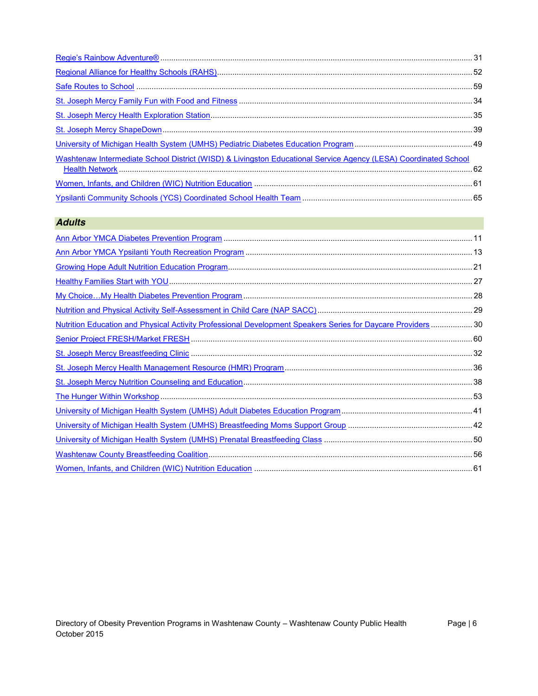| Washtenaw Intermediate School District (WISD) & Livingston Educational Service Agency (LESA) Coordinated School |  |
|-----------------------------------------------------------------------------------------------------------------|--|
|                                                                                                                 |  |
|                                                                                                                 |  |

### *Adults*

| Nutrition Education and Physical Activity Professional Development Speakers Series for Daycare Providers  30 |  |
|--------------------------------------------------------------------------------------------------------------|--|
|                                                                                                              |  |
|                                                                                                              |  |
|                                                                                                              |  |
|                                                                                                              |  |
|                                                                                                              |  |
|                                                                                                              |  |
|                                                                                                              |  |
|                                                                                                              |  |
|                                                                                                              |  |
|                                                                                                              |  |
|                                                                                                              |  |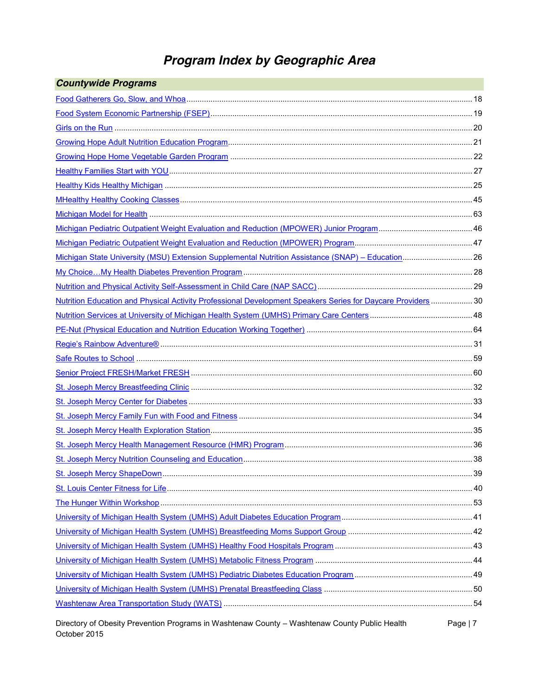## *Program Index by Geographic Area*

| <b>Countywide Programs</b>                                                                                    |           |
|---------------------------------------------------------------------------------------------------------------|-----------|
|                                                                                                               |           |
|                                                                                                               |           |
|                                                                                                               |           |
|                                                                                                               |           |
|                                                                                                               |           |
|                                                                                                               |           |
|                                                                                                               |           |
|                                                                                                               |           |
|                                                                                                               |           |
|                                                                                                               |           |
|                                                                                                               |           |
| Michigan State University (MSU) Extension Supplemental Nutrition Assistance (SNAP) - Education 26             |           |
|                                                                                                               |           |
|                                                                                                               |           |
| Nutrition Education and Physical Activity Professional Development Speakers Series for Daycare Providers  30  |           |
|                                                                                                               |           |
|                                                                                                               |           |
|                                                                                                               |           |
|                                                                                                               |           |
|                                                                                                               |           |
|                                                                                                               |           |
|                                                                                                               |           |
|                                                                                                               |           |
|                                                                                                               |           |
|                                                                                                               |           |
|                                                                                                               |           |
|                                                                                                               |           |
|                                                                                                               |           |
|                                                                                                               |           |
|                                                                                                               |           |
|                                                                                                               |           |
|                                                                                                               |           |
|                                                                                                               |           |
|                                                                                                               |           |
|                                                                                                               |           |
|                                                                                                               |           |
| Directory of Obesity Prevention Programs in Washtenaw County - Washtenaw County Public Health<br>October 2015 | Page $ 7$ |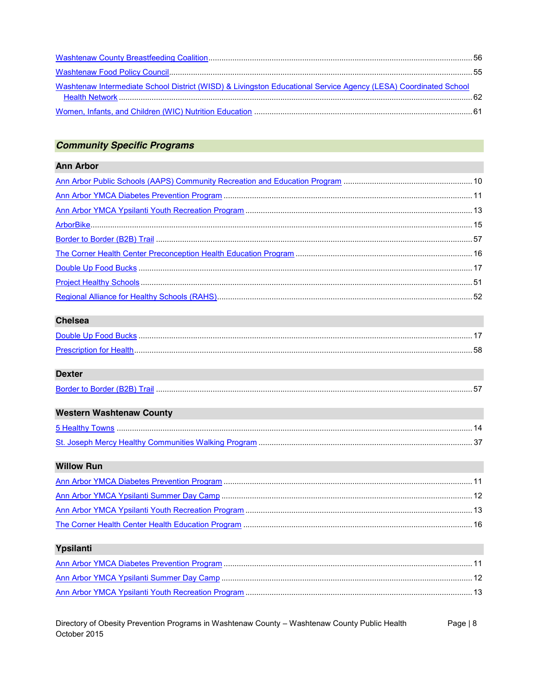| Washtenaw Intermediate School District (WISD) & Livingston Educational Service Agency (LESA) Coordinated School |  |
|-----------------------------------------------------------------------------------------------------------------|--|
|                                                                                                                 |  |
|                                                                                                                 |  |

### **Community Specific Programs**

### **Ann Arbor**

### **Chelsea**

| <b>Prescription for Health.</b> |  |
|---------------------------------|--|

### **Dexter**

| <b>Border to Border (B2F</b> |  |
|------------------------------|--|
|                              |  |

| <b>Western Washtenaw County</b> |  |
|---------------------------------|--|
|                                 |  |
|                                 |  |

### **Willow Run**

### Ypsilanti

Directory of Obesity Prevention Programs in Washtenaw County - Washtenaw County Public Health Page | 8 October 2015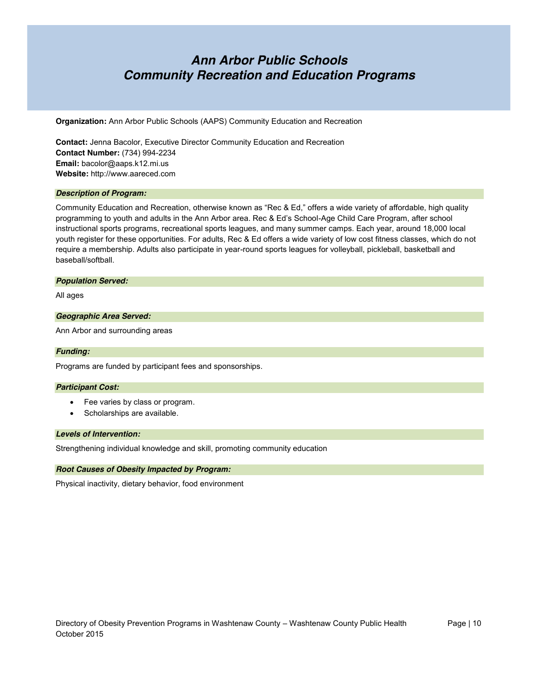### *Ann Arbor Public Schools Community Recreation and Education Programs*

**Organization:** Ann Arbor Public Schools (AAPS) Community Education and Recreation

**Contact:** Jenna Bacolor, Executive Director Community Education and Recreation **Contact Number:** (734) 994-2234 **Email:** bacolor@aaps.k12.mi.us **Website:** http://www.aareced.com

#### *Description of Program:*

Community Education and Recreation, otherwise known as "Rec & Ed," offers a wide variety of affordable, high quality programming to youth and adults in the Ann Arbor area. Rec & Ed's School-Age Child Care Program, after school instructional sports programs, recreational sports leagues, and many summer camps. Each year, around 18,000 local youth register for these opportunities. For adults, Rec & Ed offers a wide variety of low cost fitness classes, which do not require a membership. Adults also participate in year-round sports leagues for volleyball, pickleball, basketball and baseball/softball.

#### *Population Served:*

All ages

#### *Geographic Area Served:*

Ann Arbor and surrounding areas

#### *Funding:*

Programs are funded by participant fees and sponsorships.

#### *Participant Cost:*

- Fee varies by class or program.
- Scholarships are available.

#### *Levels of Intervention:*

Strengthening individual knowledge and skill, promoting community education

#### *Root Causes of Obesity Impacted by Program:*

Physical inactivity, dietary behavior, food environment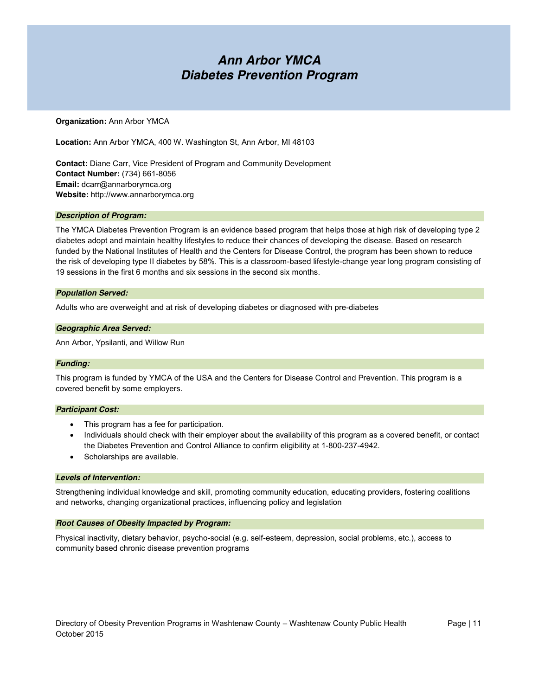### *Ann Arbor YMCA Diabetes Prevention Program*

#### **Organization:** Ann Arbor YMCA

**Location:** Ann Arbor YMCA, 400 W. Washington St, Ann Arbor, MI 48103

**Contact:** Diane Carr, Vice President of Program and Community Development **Contact Number:** (734) 661-8056 **Email:** dcarr@annarborymca.org **Website:** http://www.annarborymca.org

#### *Description of Program:*

The YMCA Diabetes Prevention Program is an evidence based program that helps those at high risk of developing type 2 diabetes adopt and maintain healthy lifestyles to reduce their chances of developing the disease. Based on research funded by the National Institutes of Health and the Centers for Disease Control, the program has been shown to reduce the risk of developing type II diabetes by 58%. This is a classroom-based lifestyle-change year long program consisting of 19 sessions in the first 6 months and six sessions in the second six months.

#### *Population Served:*

Adults who are overweight and at risk of developing diabetes or diagnosed with pre-diabetes

#### *Geographic Area Served:*

Ann Arbor, Ypsilanti, and Willow Run

#### *Funding:*

This program is funded by YMCA of the USA and the Centers for Disease Control and Prevention. This program is a covered benefit by some employers.

#### *Participant Cost:*

- This program has a fee for participation.
- Individuals should check with their employer about the availability of this program as a covered benefit, or contact the Diabetes Prevention and Control Alliance to confirm eligibility at 1-800-237-4942.
- Scholarships are available.

#### *Levels of Intervention:*

Strengthening individual knowledge and skill, promoting community education, educating providers, fostering coalitions and networks, changing organizational practices, influencing policy and legislation

#### *Root Causes of Obesity Impacted by Program:*

Physical inactivity, dietary behavior, psycho-social (e.g. self-esteem, depression, social problems, etc.), access to community based chronic disease prevention programs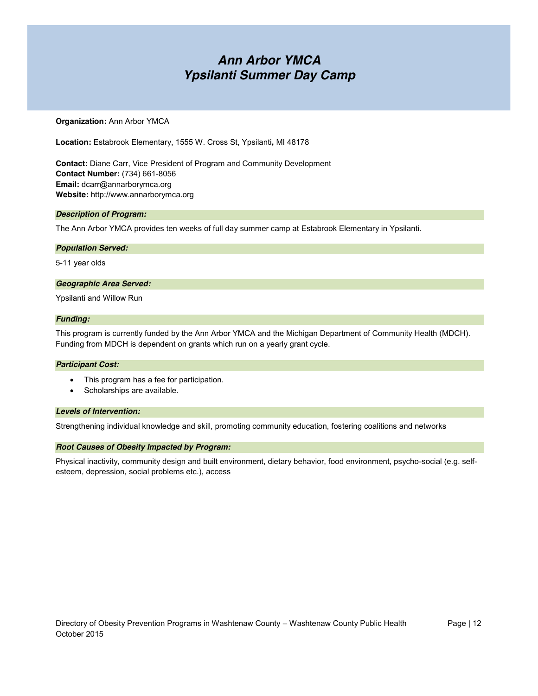### *Ann Arbor YMCA Ypsilanti Summer Day Camp*

#### **Organization:** Ann Arbor YMCA

**Location:** Estabrook Elementary, 1555 W. Cross St, Ypsilanti**,** MI 48178

**Contact:** Diane Carr, Vice President of Program and Community Development **Contact Number:** (734) 661-8056 **Email:** dcarr@annarborymca.org **Website:** http://www.annarborymca.org

#### *Description of Program:*

The Ann Arbor YMCA provides ten weeks of full day summer camp at Estabrook Elementary in Ypsilanti.

#### *Population Served:*

5-11 year olds

#### *Geographic Area Served:*

Ypsilanti and Willow Run

#### *Funding:*

This program is currently funded by the Ann Arbor YMCA and the Michigan Department of Community Health (MDCH). Funding from MDCH is dependent on grants which run on a yearly grant cycle.

#### *Participant Cost:*

- This program has a fee for participation.
- Scholarships are available.

#### *Levels of Intervention:*

Strengthening individual knowledge and skill, promoting community education, fostering coalitions and networks

#### *Root Causes of Obesity Impacted by Program:*

Physical inactivity, community design and built environment, dietary behavior, food environment, psycho-social (e.g. selfesteem, depression, social problems etc.), access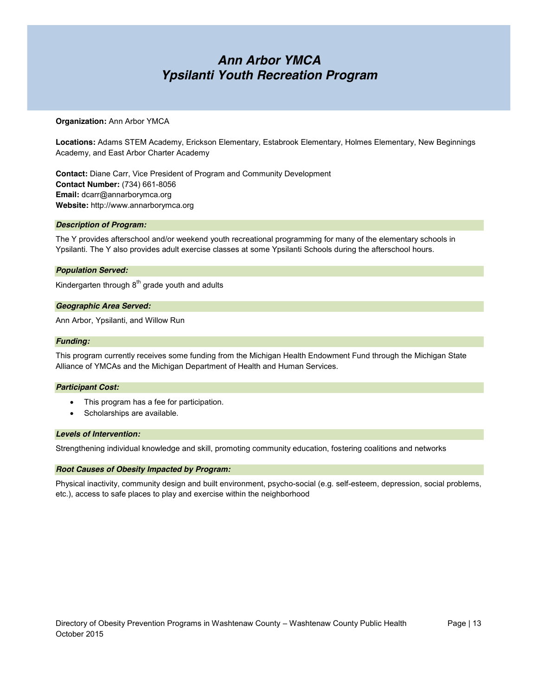### *Ann Arbor YMCA Ypsilanti Youth Recreation Program*

#### **Organization:** Ann Arbor YMCA

**Locations:** Adams STEM Academy, Erickson Elementary, Estabrook Elementary, Holmes Elementary, New Beginnings Academy, and East Arbor Charter Academy

**Contact:** Diane Carr, Vice President of Program and Community Development **Contact Number:** (734) 661-8056 **Email:** dcarr@annarborymca.org **Website:** http://www.annarborymca.org

#### *Description of Program:*

The Y provides afterschool and/or weekend youth recreational programming for many of the elementary schools in Ypsilanti. The Y also provides adult exercise classes at some Ypsilanti Schools during the afterschool hours.

#### *Population Served:*

Kindergarten through 8<sup>th</sup> grade youth and adults

#### *Geographic Area Served:*

Ann Arbor, Ypsilanti, and Willow Run

#### *Funding:*

This program currently receives some funding from the Michigan Health Endowment Fund through the Michigan State Alliance of YMCAs and the Michigan Department of Health and Human Services.

#### *Participant Cost:*

- This program has a fee for participation.
- Scholarships are available.

#### *Levels of Intervention:*

Strengthening individual knowledge and skill, promoting community education, fostering coalitions and networks

#### *Root Causes of Obesity Impacted by Program:*

Physical inactivity, community design and built environment, psycho-social (e.g. self-esteem, depression, social problems, etc.), access to safe places to play and exercise within the neighborhood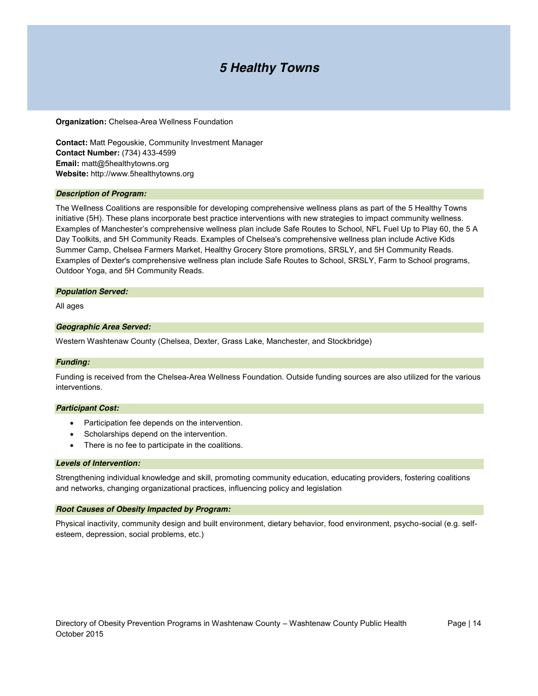### *5 Healthy Towns*

**Organization:** Chelsea-Area Wellness Foundation

**Contact:** Matt Pegouskie, Community Investment Manager **Contact Number:** (734) 433-4599 **Email:** matt@5healthytowns.org **Website:** http://www.5healthytowns.org

#### *Description of Program:*

The Wellness Coalitions are responsible for developing comprehensive wellness plans as part of the 5 Healthy Towns initiative (5H). These plans incorporate best practice interventions with new strategies to impact community wellness. Examples of Manchester's comprehensive wellness plan include Safe Routes to School, NFL Fuel Up to Play 60, the 5 A Day Toolkits, and 5H Community Reads. Examples of Chelsea's comprehensive wellness plan include Active Kids Summer Camp, Chelsea Farmers Market, Healthy Grocery Store promotions, SRSLY, and 5H Community Reads. Examples of Dexter's comprehensive wellness plan include Safe Routes to School, SRSLY, Farm to School programs, Outdoor Yoga, and 5H Community Reads.

#### *Population Served:*

All ages

#### *Geographic Area Served:*

Western Washtenaw County (Chelsea, Dexter, Grass Lake, Manchester, and Stockbridge)

#### *Funding:*

Funding is received from the Chelsea-Area Wellness Foundation. Outside funding sources are also utilized for the various interventions.

#### *Participant Cost:*

- Participation fee depends on the intervention.
- Scholarships depend on the intervention.
- There is no fee to participate in the coalitions.

#### *Levels of Intervention:*

Strengthening individual knowledge and skill, promoting community education, educating providers, fostering coalitions and networks, changing organizational practices, influencing policy and legislation

#### *Root Causes of Obesity Impacted by Program:*

Physical inactivity, community design and built environment, dietary behavior, food environment, psycho-social (e.g. selfesteem, depression, social problems, etc.)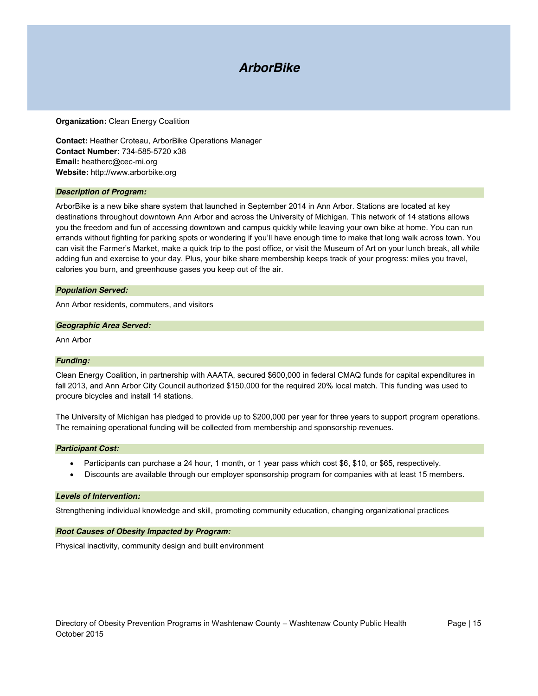### *ArborBike*

#### **Organization:** Clean Energy Coalition

**Contact:** Heather Croteau, ArborBike Operations Manager **Contact Number:** 734-585-5720 x38 **Email:** heatherc@cec-mi.org **Website:** http://www.arborbike.org

#### *Description of Program:*

ArborBike is a new bike share system that launched in September 2014 in Ann Arbor. Stations are located at key destinations throughout downtown Ann Arbor and across the University of Michigan. This network of 14 stations allows you the freedom and fun of accessing downtown and campus quickly while leaving your own bike at home. You can run errands without fighting for parking spots or wondering if you'll have enough time to make that long walk across town. You can visit the Farmer's Market, make a quick trip to the post office, or visit the Museum of Art on your lunch break, all while adding fun and exercise to your day. Plus, your bike share membership keeps track of your progress: miles you travel, calories you burn, and greenhouse gases you keep out of the air.

#### *Population Served:*

Ann Arbor residents, commuters, and visitors

#### *Geographic Area Served:*

Ann Arbor

#### *Funding:*

Clean Energy Coalition, in partnership with AAATA, secured \$600,000 in federal CMAQ funds for capital expenditures in fall 2013, and Ann Arbor City Council authorized \$150,000 for the required 20% local match. This funding was used to procure bicycles and install 14 stations.

The University of Michigan has pledged to provide up to \$200,000 per year for three years to support program operations. The remaining operational funding will be collected from membership and sponsorship revenues.

#### *Participant Cost:*

- $\bullet$  Participants can purchase a 24 hour, 1 month, or 1 year pass which cost \$6, \$10, or \$65, respectively.
- Discounts are available through our employer sponsorship program for companies with at least 15 members.

#### *Levels of Intervention:*

Strengthening individual knowledge and skill, promoting community education, changing organizational practices

#### *Root Causes of Obesity Impacted by Program:*

Physical inactivity, community design and built environment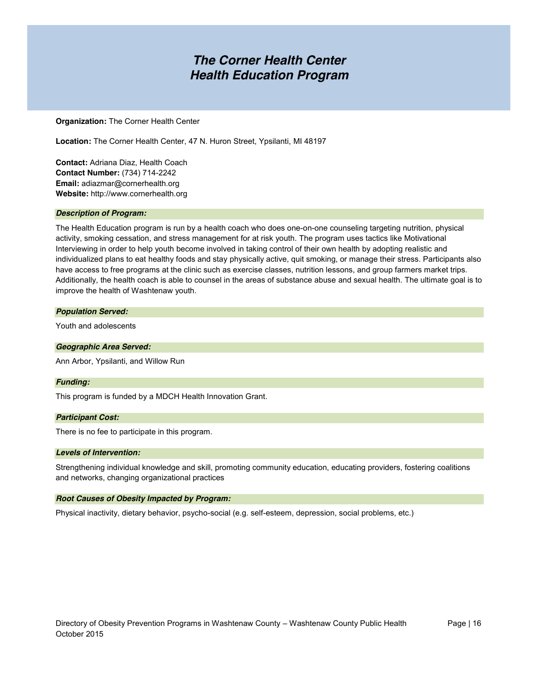### *The Corner Health Center Health Education Program*

**Organization:** The Corner Health Center

**Location:** The Corner Health Center, 47 N. Huron Street, Ypsilanti, MI 48197

**Contact:** Adriana Diaz, Health Coach **Contact Number:** (734) 714-2242 **Email:** adiazmar@cornerhealth.org **Website:** http://www.cornerhealth.org

#### *Description of Program:*

The Health Education program is run by a health coach who does one-on-one counseling targeting nutrition, physical activity, smoking cessation, and stress management for at risk youth. The program uses tactics like Motivational Interviewing in order to help youth become involved in taking control of their own health by adopting realistic and individualized plans to eat healthy foods and stay physically active, quit smoking, or manage their stress. Participants also have access to free programs at the clinic such as exercise classes, nutrition lessons, and group farmers market trips. Additionally, the health coach is able to counsel in the areas of substance abuse and sexual health. The ultimate goal is to improve the health of Washtenaw youth.

#### *Population Served:*

Youth and adolescents

*Geographic Area Served:*

Ann Arbor, Ypsilanti, and Willow Run

#### *Funding:*

This program is funded by a MDCH Health Innovation Grant.

#### *Participant Cost:*

There is no fee to participate in this program.

#### *Levels of Intervention:*

Strengthening individual knowledge and skill, promoting community education, educating providers, fostering coalitions and networks, changing organizational practices

#### *Root Causes of Obesity Impacted by Program:*

Physical inactivity, dietary behavior, psycho-social (e.g. self-esteem, depression, social problems, etc.)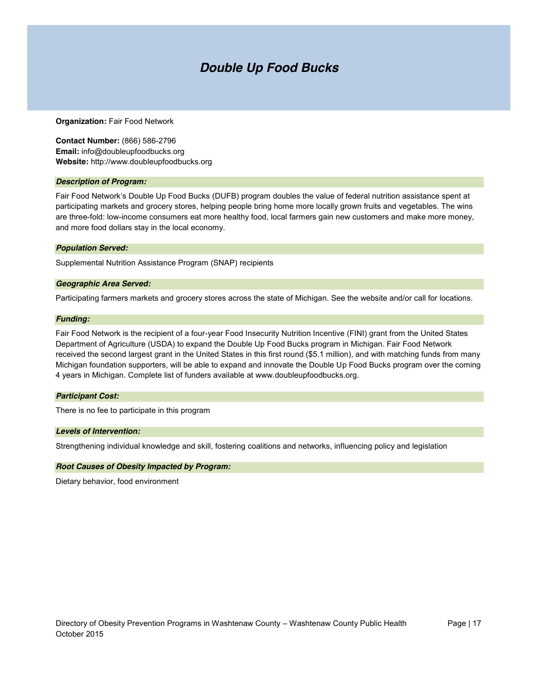### *Double Up Food Bucks*

#### **Organization:** Fair Food Network

**Contact Number:** (866) 586-2796 **Email:** info@doubleupfoodbucks.org **Website:** http://www.doubleupfoodbucks.org

#### *Description of Program:*

Fair Food Network's Double Up Food Bucks (DUFB) program doubles the value of federal nutrition assistance spent at participating markets and grocery stores, helping people bring home more locally grown fruits and vegetables. The wins are three-fold: low-income consumers eat more healthy food, local farmers gain new customers and make more money, and more food dollars stay in the local economy.

#### *Population Served:*

Supplemental Nutrition Assistance Program (SNAP) recipients

#### *Geographic Area Served:*

Participating farmers markets and grocery stores across the state of Michigan. See the website and/or call for locations.

#### *Funding:*

Fair Food Network is the recipient of a four-year Food Insecurity Nutrition Incentive (FINI) grant from the United States Department of Agriculture (USDA) to expand the Double Up Food Bucks program in Michigan. Fair Food Network received the second largest grant in the United States in this first round (\$5.1 million), and with matching funds from many Michigan foundation supporters, will be able to expand and innovate the Double Up Food Bucks program over the coming 4 years in Michigan. Complete list of funders available at www.doubleupfoodbucks.org.

#### *Participant Cost:*

There is no fee to participate in this program

#### *Levels of Intervention:*

Strengthening individual knowledge and skill, fostering coalitions and networks, influencing policy and legislation

#### *Root Causes of Obesity Impacted by Program:*

Dietary behavior, food environment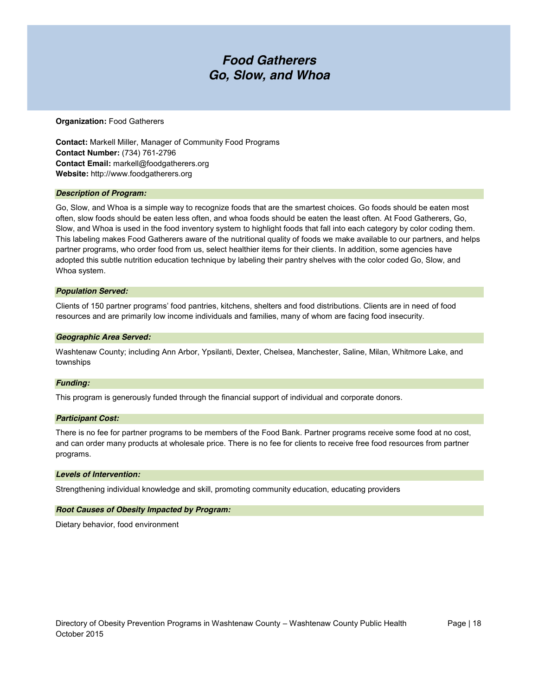### *Food Gatherers Go, Slow, and Whoa*

#### **Organization:** Food Gatherers

**Contact:** Markell Miller, Manager of Community Food Programs **Contact Number:** (734) 761-2796 **Contact Email:** markell@foodgatherers.org **Website:** http://www.foodgatherers.org

#### *Description of Program:*

Go, Slow, and Whoa is a simple way to recognize foods that are the smartest choices. Go foods should be eaten most often, slow foods should be eaten less often, and whoa foods should be eaten the least often. At Food Gatherers, Go, Slow, and Whoa is used in the food inventory system to highlight foods that fall into each category by color coding them. This labeling makes Food Gatherers aware of the nutritional quality of foods we make available to our partners, and helps partner programs, who order food from us, select healthier items for their clients. In addition, some agencies have adopted this subtle nutrition education technique by labeling their pantry shelves with the color coded Go, Slow, and Whoa system.

#### *Population Served:*

Clients of 150 partner programs' food pantries, kitchens, shelters and food distributions. Clients are in need of food resources and are primarily low income individuals and families, many of whom are facing food insecurity.

#### *Geographic Area Served:*

Washtenaw County; including Ann Arbor, Ypsilanti, Dexter, Chelsea, Manchester, Saline, Milan, Whitmore Lake, and townships

#### *Funding:*

This program is generously funded through the financial support of individual and corporate donors.

#### *Participant Cost:*

There is no fee for partner programs to be members of the Food Bank. Partner programs receive some food at no cost, and can order many products at wholesale price. There is no fee for clients to receive free food resources from partner programs.

#### *Levels of Intervention:*

Strengthening individual knowledge and skill, promoting community education, educating providers

#### *Root Causes of Obesity Impacted by Program:*

Dietary behavior, food environment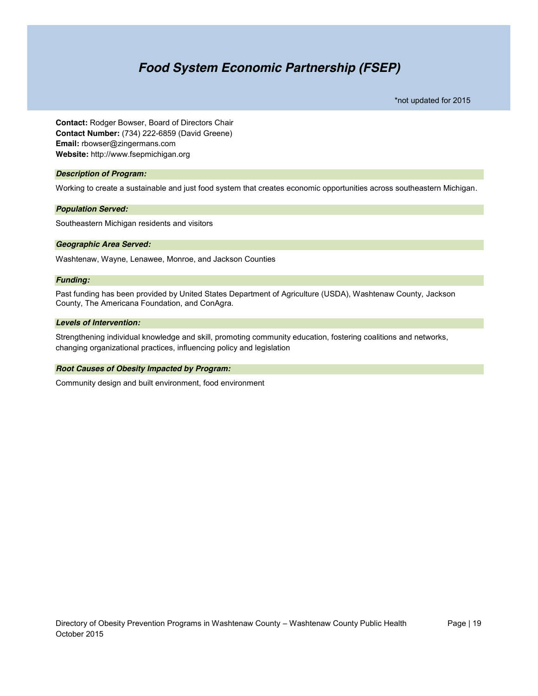### *Food System Economic Partnership (FSEP)*

\*not updated for 2015

**Contact:** Rodger Bowser, Board of Directors Chair **Contact Number:** (734) 222-6859 (David Greene) **Email:** rbowser@zingermans.com **Website:** http://www.fsepmichigan.org

#### *Description of Program:*

Working to create a sustainable and just food system that creates economic opportunities across southeastern Michigan.

#### *Population Served:*

Southeastern Michigan residents and visitors

#### *Geographic Area Served:*

Washtenaw, Wayne, Lenawee, Monroe, and Jackson Counties

#### *Funding:*

Past funding has been provided by United States Department of Agriculture (USDA), Washtenaw County, Jackson County, The Americana Foundation, and ConAgra.

#### *Levels of Intervention:*

Strengthening individual knowledge and skill, promoting community education, fostering coalitions and networks, changing organizational practices, influencing policy and legislation

#### *Root Causes of Obesity Impacted by Program:*

Community design and built environment, food environment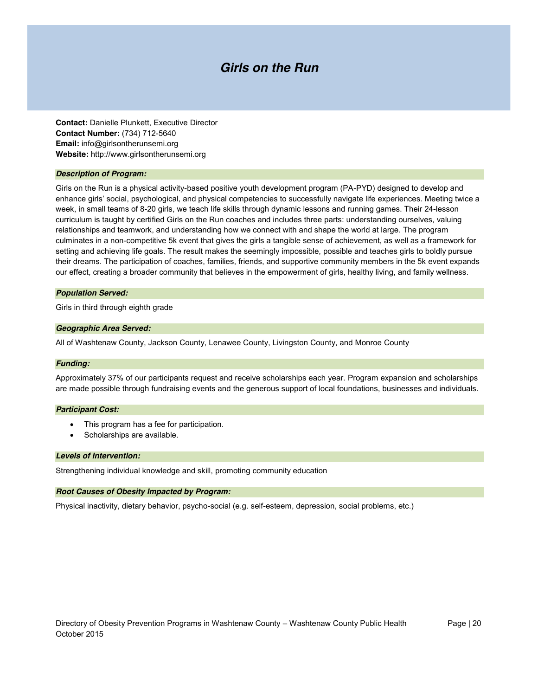### *Girls on the Run*

**Contact:** Danielle Plunkett, Executive Director **Contact Number:** (734) 712-5640 **Email:** info@girlsontherunsemi.org **Website:** http://www.girlsontherunsemi.org

#### *Description of Program:*

Girls on the Run is a physical activity-based positive youth development program (PA-PYD) designed to develop and enhance girls' social, psychological, and physical competencies to successfully navigate life experiences. Meeting twice a week, in small teams of 8-20 girls, we teach life skills through dynamic lessons and running games. Their 24-lesson curriculum is taught by certified Girls on the Run coaches and includes three parts: understanding ourselves, valuing relationships and teamwork, and understanding how we connect with and shape the world at large. The program culminates in a non-competitive 5k event that gives the girls a tangible sense of achievement, as well as a framework for setting and achieving life goals. The result makes the seemingly impossible, possible and teaches girls to boldly pursue their dreams. The participation of coaches, families, friends, and supportive community members in the 5k event expands our effect, creating a broader community that believes in the empowerment of girls, healthy living, and family wellness.

#### *Population Served:*

Girls in third through eighth grade

#### *Geographic Area Served:*

All of Washtenaw County, Jackson County, Lenawee County, Livingston County, and Monroe County

#### *Funding:*

Approximately 37% of our participants request and receive scholarships each year. Program expansion and scholarships are made possible through fundraising events and the generous support of local foundations, businesses and individuals.

#### *Participant Cost:*

- This program has a fee for participation.
- Scholarships are available.

#### *Levels of Intervention:*

Strengthening individual knowledge and skill, promoting community education

#### *Root Causes of Obesity Impacted by Program:*

Physical inactivity, dietary behavior, psycho-social (e.g. self-esteem, depression, social problems, etc.)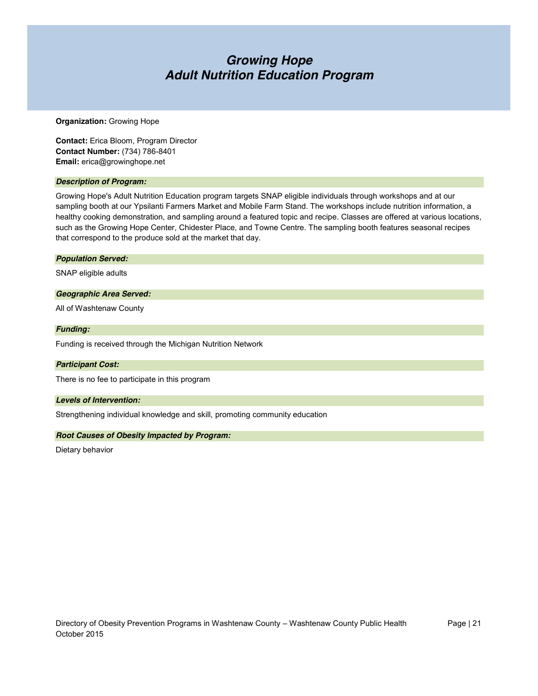### *Growing Hope Adult Nutrition Education Program*

#### **Organization:** Growing Hope

**Contact:** Erica Bloom, Program Director **Contact Number:** (734) 786-8401 **Email:** erica@growinghope.net

#### *Description of Program:*

Growing Hope's Adult Nutrition Education program targets SNAP eligible individuals through workshops and at our sampling booth at our Ypsilanti Farmers Market and Mobile Farm Stand. The workshops include nutrition information, a healthy cooking demonstration, and sampling around a featured topic and recipe. Classes are offered at various locations, such as the Growing Hope Center, Chidester Place, and Towne Centre. The sampling booth features seasonal recipes that correspond to the produce sold at the market that day.

#### *Population Served:*

SNAP eligible adults

#### *Geographic Area Served:*

All of Washtenaw County

#### *Funding:*

Funding is received through the Michigan Nutrition Network

#### *Participant Cost:*

There is no fee to participate in this program

#### *Levels of Intervention:*

Strengthening individual knowledge and skill, promoting community education

#### *Root Causes of Obesity Impacted by Program:*

Dietary behavior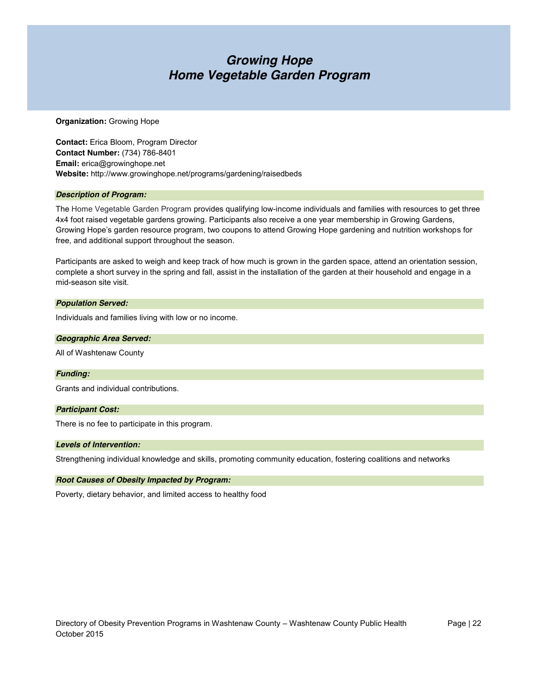### *Growing Hope Home Vegetable Garden Program*

#### **Organization:** Growing Hope

**Contact:** Erica Bloom, Program Director **Contact Number:** (734) 786-8401 **Email:** erica@growinghope.net **Website:** http://www.growinghope.net/programs/gardening/raisedbeds

#### *Description of Program:*

The Home Vegetable Garden Program provides qualifying low-income individuals and families with resources to get three 4x4 foot raised vegetable gardens growing. Participants also receive a one year membership in Growing Gardens, Growing Hope's garden resource program, two coupons to attend Growing Hope gardening and nutrition workshops for free, and additional support throughout the season.

Participants are asked to weigh and keep track of how much is grown in the garden space, attend an orientation session, complete a short survey in the spring and fall, assist in the installation of the garden at their household and engage in a mid-season site visit.

#### *Population Served:*

Individuals and families living with low or no income.

#### *Geographic Area Served:*

All of Washtenaw County

#### *Funding:*

Grants and individual contributions.

#### *Participant Cost:*

There is no fee to participate in this program.

#### *Levels of Intervention:*

Strengthening individual knowledge and skills, promoting community education, fostering coalitions and networks

#### *Root Causes of Obesity Impacted by Program:*

Poverty, dietary behavior, and limited access to healthy food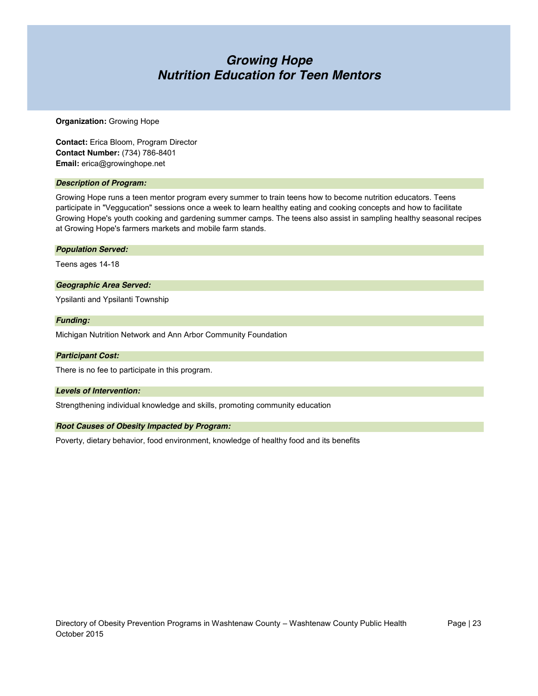### *Growing Hope Nutrition Education for Teen Mentors*

#### **Organization:** Growing Hope

**Contact:** Erica Bloom, Program Director **Contact Number:** (734) 786-8401 **Email:** erica@growinghope.net

#### *Description of Program:*

Growing Hope runs a teen mentor program every summer to train teens how to become nutrition educators. Teens participate in "Veggucation" sessions once a week to learn healthy eating and cooking concepts and how to facilitate Growing Hope's youth cooking and gardening summer camps. The teens also assist in sampling healthy seasonal recipes at Growing Hope's farmers markets and mobile farm stands.

#### *Population Served:*

Teens ages 14-18

#### *Geographic Area Served:*

Ypsilanti and Ypsilanti Township

#### *Funding:*

Michigan Nutrition Network and Ann Arbor Community Foundation

#### *Participant Cost:*

There is no fee to participate in this program.

#### *Levels of Intervention:*

Strengthening individual knowledge and skills, promoting community education

#### *Root Causes of Obesity Impacted by Program:*

Poverty, dietary behavior, food environment, knowledge of healthy food and its benefits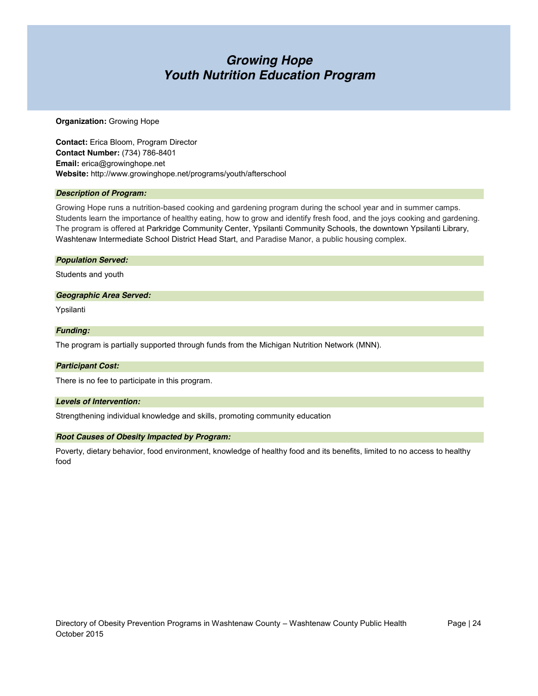### *Growing Hope Youth Nutrition Education Program*

#### **Organization:** Growing Hope

**Contact:** Erica Bloom, Program Director **Contact Number:** (734) 786-8401 **Email:** erica@growinghope.net **Website:** http://www.growinghope.net/programs/youth/afterschool

#### *Description of Program:*

Growing Hope runs a nutrition-based cooking and gardening program during the school year and in summer camps. Students learn the importance of healthy eating, how to grow and identify fresh food, and the joys cooking and gardening. The program is offered at Parkridge Community Center, Ypsilanti Community Schools, the downtown Ypsilanti Library, Washtenaw Intermediate School District Head Start, and Paradise Manor, a public housing complex.

#### *Population Served:*

Students and youth

#### *Geographic Area Served:*

Ypsilanti

#### *Funding:*

The program is partially supported through funds from the Michigan Nutrition Network (MNN).

#### *Participant Cost:*

There is no fee to participate in this program.

#### *Levels of Intervention:*

Strengthening individual knowledge and skills, promoting community education

#### *Root Causes of Obesity Impacted by Program:*

Poverty, dietary behavior, food environment, knowledge of healthy food and its benefits, limited to no access to healthy food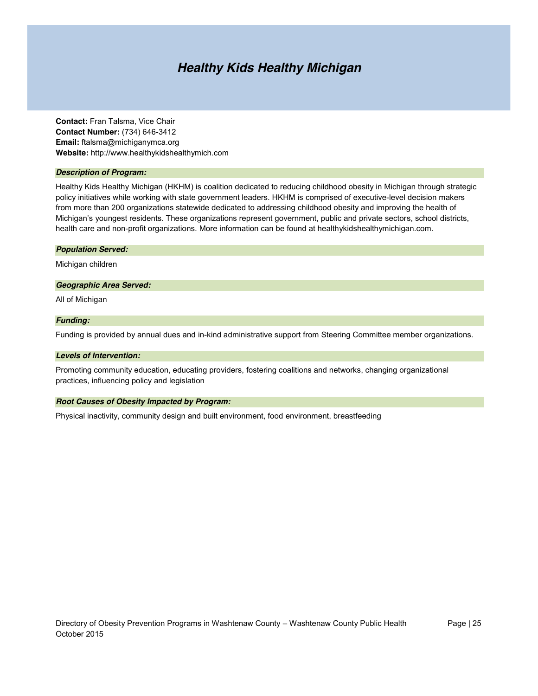### *Healthy Kids Healthy Michigan*

**Contact:** Fran Talsma, Vice Chair **Contact Number:** (734) 646-3412 **Email:** ftalsma@michiganymca.org **Website:** http://www.healthykidshealthymich.com

#### *Description of Program:*

Healthy Kids Healthy Michigan (HKHM) is coalition dedicated to reducing childhood obesity in Michigan through strategic policy initiatives while working with state government leaders. HKHM is comprised of executive-level decision makers from more than 200 organizations statewide dedicated to addressing childhood obesity and improving the health of Michigan's youngest residents. These organizations represent government, public and private sectors, school districts, health care and non-profit organizations. More information can be found at healthykidshealthymichigan.com.

#### *Population Served:*

Michigan children

#### *Geographic Area Served:*

All of Michigan

#### *Funding:*

Funding is provided by annual dues and in-kind administrative support from Steering Committee member organizations.

#### *Levels of Intervention:*

Promoting community education, educating providers, fostering coalitions and networks, changing organizational practices, influencing policy and legislation

#### *Root Causes of Obesity Impacted by Program:*

Physical inactivity, community design and built environment, food environment, breastfeeding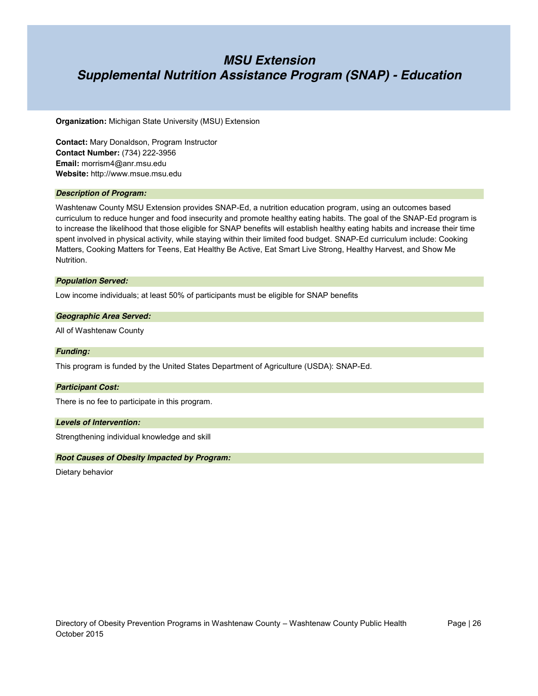### *MSU Extension Supplemental Nutrition Assistance Program (SNAP) - Education*

**Organization:** Michigan State University (MSU) Extension

**Contact:** Mary Donaldson, Program Instructor **Contact Number:** (734) 222-3956 **Email:** morrism4@anr.msu.edu **Website:** http://www.msue.msu.edu

#### *Description of Program:*

Washtenaw County MSU Extension provides SNAP-Ed, a nutrition education program, using an outcomes based curriculum to reduce hunger and food insecurity and promote healthy eating habits. The goal of the SNAP-Ed program is to increase the likelihood that those eligible for SNAP benefits will establish healthy eating habits and increase their time spent involved in physical activity, while staying within their limited food budget. SNAP-Ed curriculum include: Cooking Matters, Cooking Matters for Teens, Eat Healthy Be Active, Eat Smart Live Strong, Healthy Harvest, and Show Me Nutrition.

#### *Population Served:*

Low income individuals; at least 50% of participants must be eligible for SNAP benefits

#### *Geographic Area Served:*

All of Washtenaw County

#### *Funding:*

This program is funded by the United States Department of Agriculture (USDA): SNAP-Ed.

#### *Participant Cost:*

There is no fee to participate in this program.

#### *Levels of Intervention:*

Strengthening individual knowledge and skill

#### *Root Causes of Obesity Impacted by Program:*

Dietary behavior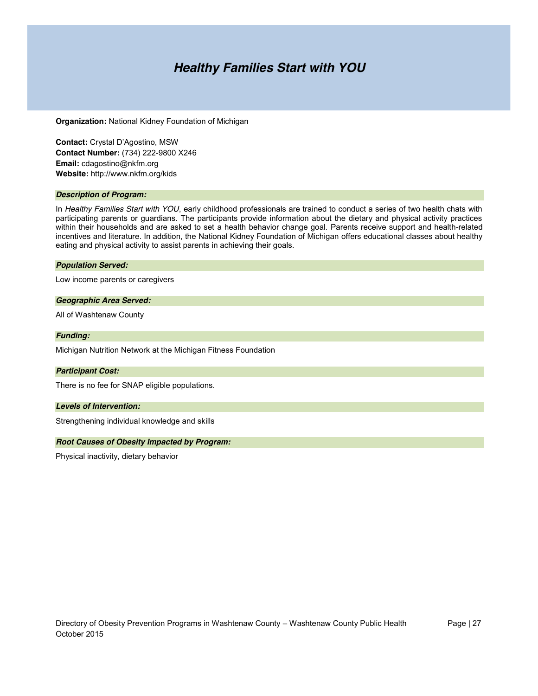### *Healthy Families Start with YOU*

**Organization:** National Kidney Foundation of Michigan

**Contact:** Crystal D'Agostino, MSW **Contact Number:** (734) 222-9800 X246 **Email:** cdagostino@nkfm.org **Website:** http://www.nkfm.org/kids

#### *Description of Program:*

In *Healthy Families Start with YOU*, early childhood professionals are trained to conduct a series of two health chats with participating parents or guardians. The participants provide information about the dietary and physical activity practices within their households and are asked to set a health behavior change goal. Parents receive support and health-related incentives and literature. In addition, the National Kidney Foundation of Michigan offers educational classes about healthy eating and physical activity to assist parents in achieving their goals.

#### *Population Served:*

Low income parents or caregivers

#### *Geographic Area Served:*

All of Washtenaw County

#### *Funding:*

Michigan Nutrition Network at the Michigan Fitness Foundation

#### *Participant Cost:*

There is no fee for SNAP eligible populations.

#### *Levels of Intervention:*

Strengthening individual knowledge and skills

#### *Root Causes of Obesity Impacted by Program:*

Physical inactivity, dietary behavior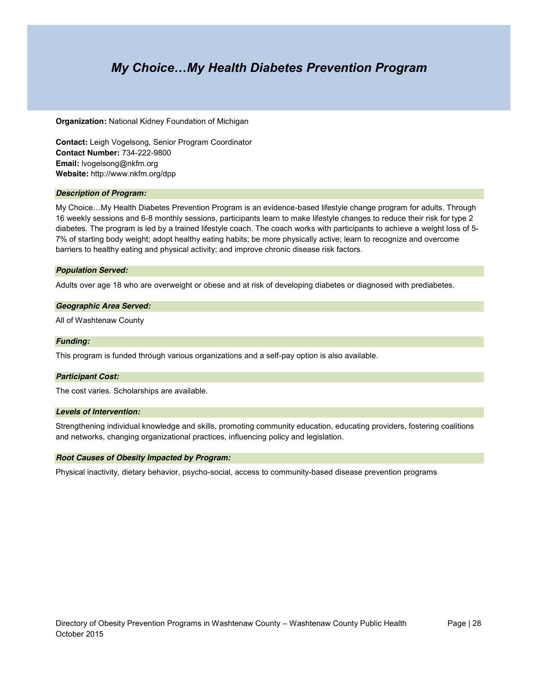### *My Choice…My Health Diabetes Prevention Program*

**Organization:** National Kidney Foundation of Michigan

**Contact:** Leigh Vogelsong, Senior Program Coordinator **Contact Number:** 734-222-9800 **Email:** lvogelsong@nkfm.org **Website:** http://www.nkfm.org/dpp

#### *Description of Program:*

My Choice…My Health Diabetes Prevention Program is an evidence-based lifestyle change program for adults. Through 16 weekly sessions and 6-8 monthly sessions, participants learn to make lifestyle changes to reduce their risk for type 2 diabetes. The program is led by a trained lifestyle coach. The coach works with participants to achieve a weight loss of 5- 7% of starting body weight; adopt healthy eating habits; be more physically active; learn to recognize and overcome barriers to healthy eating and physical activity; and improve chronic disease risk factors.

#### *Population Served:*

Adults over age 18 who are overweight or obese and at risk of developing diabetes or diagnosed with prediabetes.

#### *Geographic Area Served:*

All of Washtenaw County

#### *Funding:*

This program is funded through various organizations and a self-pay option is also available.

#### *Participant Cost:*

The cost varies. Scholarships are available.

#### *Levels of Intervention:*

Strengthening individual knowledge and skills, promoting community education, educating providers, fostering coalitions and networks, changing organizational practices, influencing policy and legislation.

#### *Root Causes of Obesity Impacted by Program:*

Physical inactivity, dietary behavior, psycho-social, access to community-based disease prevention programs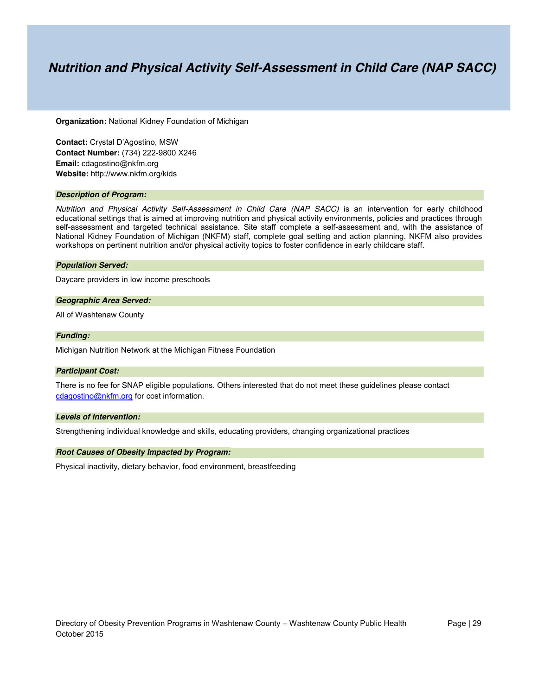### *Nutrition and Physical Activity Self-Assessment in Child Care (NAP SACC)*

**Organization:** National Kidney Foundation of Michigan

**Contact:** Crystal D'Agostino, MSW **Contact Number:** (734) 222-9800 X246 **Email:** cdagostino@nkfm.org **Website:** http://www.nkfm.org/kids

#### *Description of Program:*

*Nutrition and Physical Activity Self-Assessment in Child Care (NAP SACC)* is an intervention for early childhood educational settings that is aimed at improving nutrition and physical activity environments, policies and practices through self-assessment and targeted technical assistance. Site staff complete a self-assessment and, with the assistance of National Kidney Foundation of Michigan (NKFM) staff, complete goal setting and action planning. NKFM also provides workshops on pertinent nutrition and/or physical activity topics to foster confidence in early childcare staff.

#### *Population Served:*

Daycare providers in low income preschools

#### *Geographic Area Served:*

All of Washtenaw County

#### *Funding:*

Michigan Nutrition Network at the Michigan Fitness Foundation

#### *Participant Cost:*

There is no fee for SNAP eligible populations. Others interested that do not meet these guidelines please contact [cdagostino@nkfm.org](mailto:cdagostino@nkfm.org) for cost information.

#### *Levels of Intervention:*

Strengthening individual knowledge and skills, educating providers, changing organizational practices

#### *Root Causes of Obesity Impacted by Program:*

Physical inactivity, dietary behavior, food environment, breastfeeding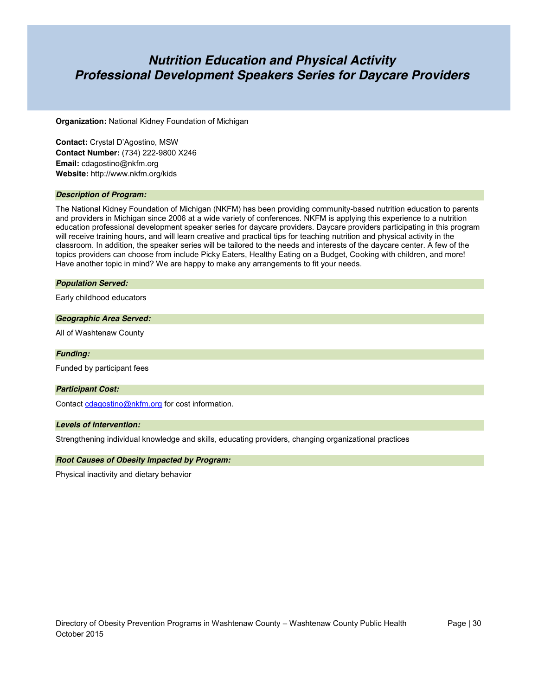### *Nutrition Education and Physical Activity Professional Development Speakers Series for Daycare Providers*

**Organization:** National Kidney Foundation of Michigan

**Contact:** Crystal D'Agostino, MSW **Contact Number:** (734) 222-9800 X246 **Email:** cdagostino@nkfm.org **Website:** http://www.nkfm.org/kids

#### *Description of Program:*

The National Kidney Foundation of Michigan (NKFM) has been providing community-based nutrition education to parents and providers in Michigan since 2006 at a wide variety of conferences. NKFM is applying this experience to a nutrition education professional development speaker series for daycare providers. Daycare providers participating in this program will receive training hours, and will learn creative and practical tips for teaching nutrition and physical activity in the classroom. In addition, the speaker series will be tailored to the needs and interests of the daycare center. A few of the topics providers can choose from include Picky Eaters, Healthy Eating on a Budget, Cooking with children, and more! Have another topic in mind? We are happy to make any arrangements to fit your needs.

#### *Population Served:*

Early childhood educators

#### *Geographic Area Served:*

All of Washtenaw County

*Funding:*

Funded by participant fees

#### *Participant Cost:*

Contac[t cdagostino@nkfm.org](mailto:cdagostino@nkfm.org) for cost information.

#### *Levels of Intervention:*

Strengthening individual knowledge and skills, educating providers, changing organizational practices

#### *Root Causes of Obesity Impacted by Program:*

Physical inactivity and dietary behavior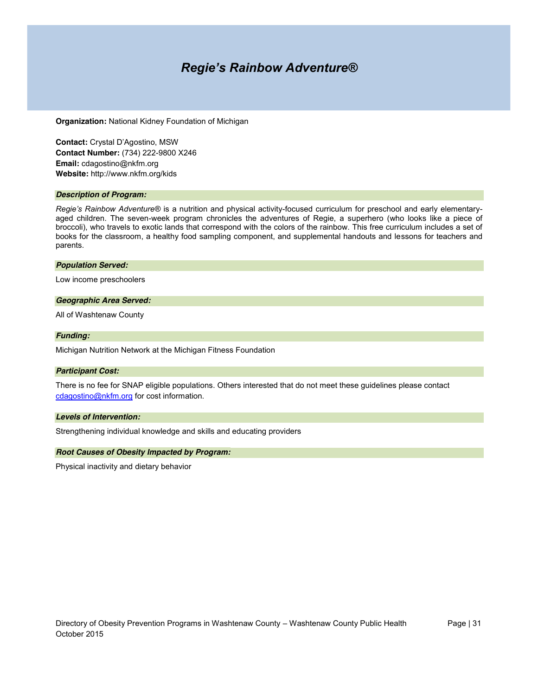### *Regie's Rainbow Adventure®*

**Organization:** National Kidney Foundation of Michigan

**Contact:** Crystal D'Agostino, MSW **Contact Number:** (734) 222-9800 X246 **Email:** cdagostino@nkfm.org **Website:** http://www.nkfm.org/kids

#### *Description of Program:*

*Regie's Rainbow Adventure®* is a nutrition and physical activity-focused curriculum for preschool and early elementaryaged children. The seven-week program chronicles the adventures of Regie, a superhero (who looks like a piece of broccoli), who travels to exotic lands that correspond with the colors of the rainbow. This free curriculum includes a set of books for the classroom, a healthy food sampling component, and supplemental handouts and lessons for teachers and parents.

#### *Population Served:*

Low income preschoolers

#### *Geographic Area Served:*

All of Washtenaw County

#### *Funding:*

Michigan Nutrition Network at the Michigan Fitness Foundation

#### *Participant Cost:*

There is no fee for SNAP eligible populations. Others interested that do not meet these guidelines please contact [cdagostino@nkfm.org](mailto:cdagostino@nkfm.org) for cost information.

#### *Levels of Intervention:*

Strengthening individual knowledge and skills and educating providers

#### *Root Causes of Obesity Impacted by Program:*

Physical inactivity and dietary behavior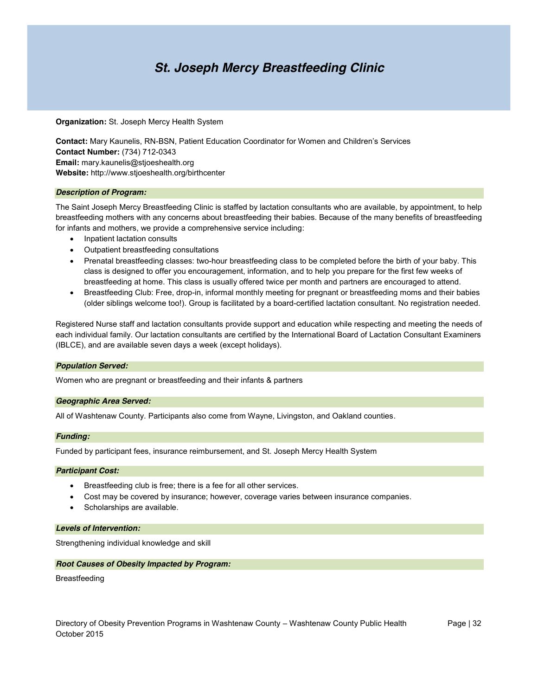### *St. Joseph Mercy Breastfeeding Clinic*

**Organization:** St. Joseph Mercy Health System

**Contact:** Mary Kaunelis, RN-BSN, Patient Education Coordinator for Women and Children's Services **Contact Number:** (734) 712-0343 **Email:** mary.kaunelis@stjoeshealth.org **Website:** http://www.stjoeshealth.org/birthcenter

#### *Description of Program:*

The Saint Joseph Mercy Breastfeeding Clinic is staffed by lactation consultants who are available, by appointment, to help breastfeeding mothers with any concerns about breastfeeding their babies. Because of the many benefits of breastfeeding for infants and mothers, we provide a comprehensive service including:

- Inpatient lactation consults
- Outpatient breastfeeding consultations
- Prenatal breastfeeding classes: two-hour breastfeeding class to be completed before the birth of your baby. This class is designed to offer you encouragement, information, and to help you prepare for the first few weeks of breastfeeding at home. This class is usually offered twice per month and partners are encouraged to attend.
- Breastfeeding Club: Free, drop-in, informal monthly meeting for pregnant or breastfeeding moms and their babies (older siblings welcome too!). Group is facilitated by a board-certified lactation consultant. No registration needed.

Registered Nurse staff and lactation consultants provide support and education while respecting and meeting the needs of each individual family. Our lactation consultants are certified by the International Board of Lactation Consultant Examiners (IBLCE), and are available seven days a week (except holidays).

#### *Population Served:*

Women who are pregnant or breastfeeding and their infants & partners

#### *Geographic Area Served:*

All of Washtenaw County. Participants also come from Wayne, Livingston, and Oakland counties.

#### *Funding:*

Funded by participant fees, insurance reimbursement, and St. Joseph Mercy Health System

#### *Participant Cost:*

- Breastfeeding club is free; there is a fee for all other services.
- Cost may be covered by insurance; however, coverage varies between insurance companies.
- Scholarships are available.

#### *Levels of Intervention:*

Strengthening individual knowledge and skill

#### *Root Causes of Obesity Impacted by Program:*

Breastfeeding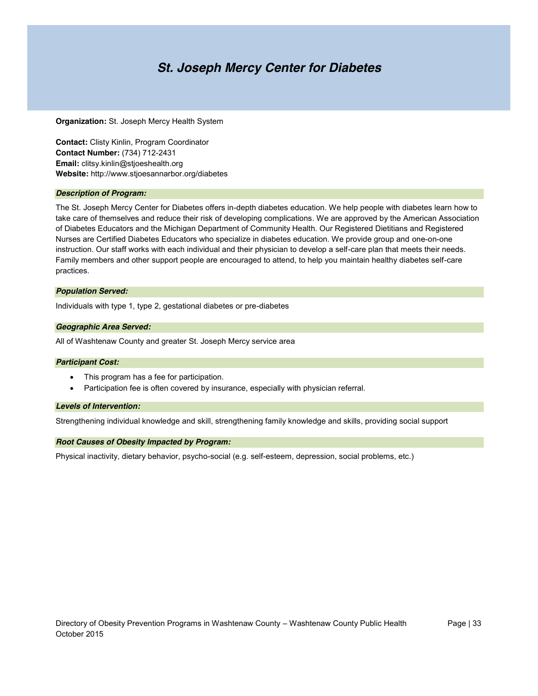### *St. Joseph Mercy Center for Diabetes*

**Organization:** St. Joseph Mercy Health System

**Contact:** Clisty Kinlin, Program Coordinator **Contact Number:** (734) 712-2431 **Email:** clitsy.kinlin@stjoeshealth.org **Website:** http://www.stjoesannarbor.org/diabetes

#### *Description of Program:*

The St. Joseph Mercy Center for Diabetes offers in-depth diabetes education. We help people with diabetes learn how to take care of themselves and reduce their risk of developing complications. We are approved by the American Association of Diabetes Educators and the Michigan Department of Community Health. Our Registered Dietitians and Registered Nurses are Certified Diabetes Educators who specialize in diabetes education. We provide group and one-on-one instruction. Our staff works with each individual and their physician to develop a self-care plan that meets their needs. Family members and other support people are encouraged to attend, to help you maintain healthy diabetes self-care practices.

#### *Population Served:*

Individuals with type 1, type 2, gestational diabetes or pre-diabetes

#### *Geographic Area Served:*

All of Washtenaw County and greater St. Joseph Mercy service area

#### *Participant Cost:*

- This program has a fee for participation.
- Participation fee is often covered by insurance, especially with physician referral.

#### *Levels of Intervention:*

Strengthening individual knowledge and skill, strengthening family knowledge and skills, providing social support

#### *Root Causes of Obesity Impacted by Program:*

Physical inactivity, dietary behavior, psycho-social (e.g. self-esteem, depression, social problems, etc.)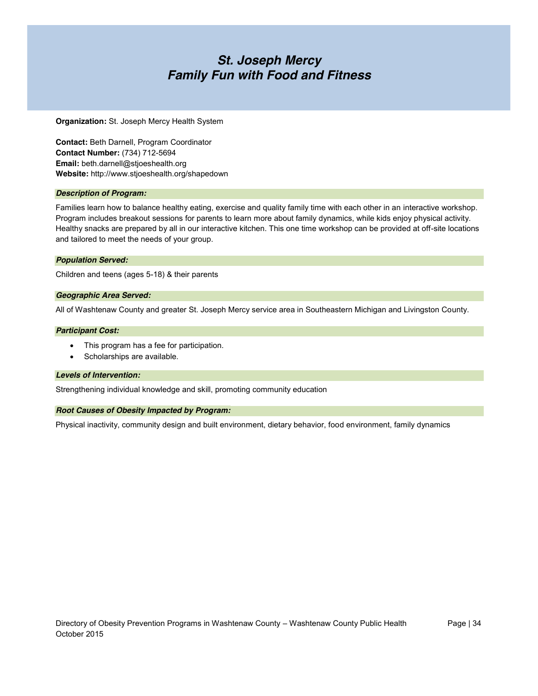### *St. Joseph Mercy Family Fun with Food and Fitness*

**Organization:** St. Joseph Mercy Health System

**Contact:** Beth Darnell, Program Coordinator **Contact Number:** (734) 712-5694 **Email:** beth.darnell@stjoeshealth.org **Website:** http://www.stjoeshealth.org/shapedown

#### *Description of Program:*

Families learn how to balance healthy eating, exercise and quality family time with each other in an interactive workshop. Program includes breakout sessions for parents to learn more about family dynamics, while kids enjoy physical activity. Healthy snacks are prepared by all in our interactive kitchen. This one time workshop can be provided at off-site locations and tailored to meet the needs of your group.

#### *Population Served:*

Children and teens (ages 5-18) & their parents

#### *Geographic Area Served:*

All of Washtenaw County and greater St. Joseph Mercy service area in Southeastern Michigan and Livingston County.

#### *Participant Cost:*

- This program has a fee for participation.
- Scholarships are available.

#### *Levels of Intervention:*

Strengthening individual knowledge and skill, promoting community education

#### *Root Causes of Obesity Impacted by Program:*

Physical inactivity, community design and built environment, dietary behavior, food environment, family dynamics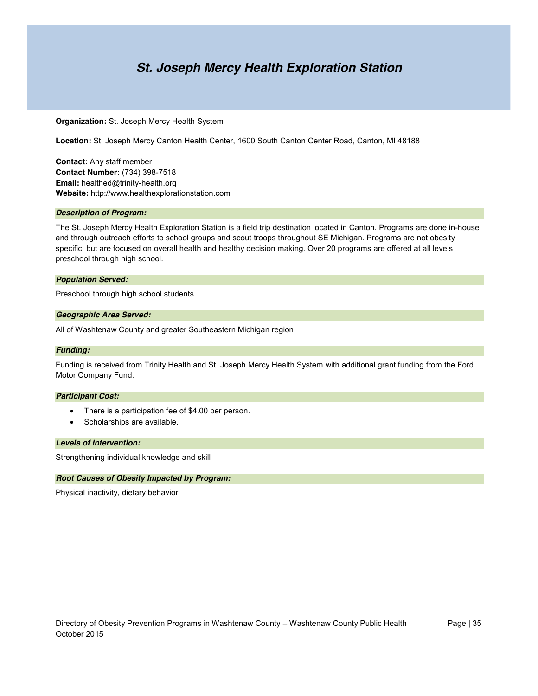### *St. Joseph Mercy Health Exploration Station*

#### **Organization:** St. Joseph Mercy Health System

**Location:** St. Joseph Mercy Canton Health Center, 1600 South Canton Center Road, Canton, MI 48188

**Contact:** Any staff member **Contact Number:** (734) 398-7518 **Email:** healthed@trinity-health.org **Website:** http://www.healthexplorationstation.com

#### *Description of Program:*

The St. Joseph Mercy Health Exploration Station is a field trip destination located in Canton. Programs are done in-house and through outreach efforts to school groups and scout troops throughout SE Michigan. Programs are not obesity specific, but are focused on overall health and healthy decision making. Over 20 programs are offered at all levels preschool through high school.

#### *Population Served:*

Preschool through high school students

#### *Geographic Area Served:*

All of Washtenaw County and greater Southeastern Michigan region

#### *Funding:*

Funding is received from Trinity Health and St. Joseph Mercy Health System with additional grant funding from the Ford Motor Company Fund.

#### *Participant Cost:*

- There is a participation fee of \$4.00 per person.
- Scholarships are available.

#### *Levels of Intervention:*

Strengthening individual knowledge and skill

#### *Root Causes of Obesity Impacted by Program:*

Physical inactivity, dietary behavior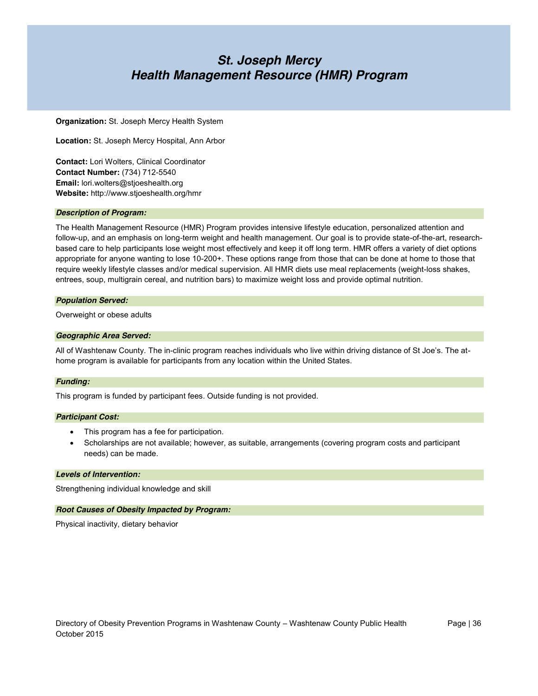### *St. Joseph Mercy Health Management Resource (HMR) Program*

**Organization:** St. Joseph Mercy Health System

**Location:** St. Joseph Mercy Hospital, Ann Arbor

**Contact:** Lori Wolters, Clinical Coordinator **Contact Number:** (734) 712-5540 **Email:** lori.wolters@stjoeshealth.org **Website:** http://www.stjoeshealth.org/hmr

#### *Description of Program:*

The Health Management Resource (HMR) Program provides intensive lifestyle education, personalized attention and follow-up, and an emphasis on long-term weight and health management. Our goal is to provide state-of-the-art, researchbased care to help participants lose weight most effectively and keep it off long term. HMR offers a variety of diet options appropriate for anyone wanting to lose 10-200+. These options range from those that can be done at home to those that require weekly lifestyle classes and/or medical supervision. All HMR diets use meal replacements (weight-loss shakes, entrees, soup, multigrain cereal, and nutrition bars) to maximize weight loss and provide optimal nutrition.

#### *Population Served:*

Overweight or obese adults

#### *Geographic Area Served:*

All of Washtenaw County. The in-clinic program reaches individuals who live within driving distance of St Joe's. The athome program is available for participants from any location within the United States.

#### *Funding:*

This program is funded by participant fees. Outside funding is not provided.

#### *Participant Cost:*

- This program has a fee for participation.
- Scholarships are not available; however, as suitable, arrangements (covering program costs and participant needs) can be made.

#### *Levels of Intervention:*

Strengthening individual knowledge and skill

#### *Root Causes of Obesity Impacted by Program:*

Physical inactivity, dietary behavior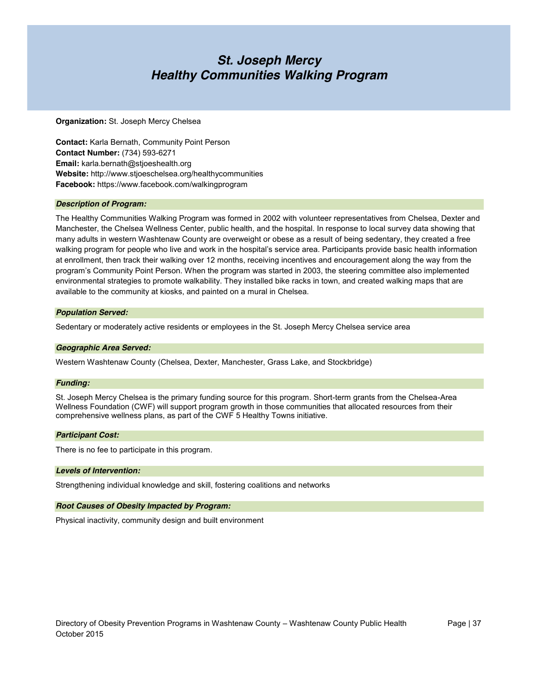### *St. Joseph Mercy Healthy Communities Walking Program*

#### **Organization:** St. Joseph Mercy Chelsea

**Contact:** Karla Bernath, Community Point Person **Contact Number:** (734) 593-6271 **Email:** karla.bernath@stjoeshealth.org **Website:** http://www.stjoeschelsea.org/healthycommunities **Facebook:** https://www.facebook.com/walkingprogram

#### *Description of Program:*

The Healthy Communities Walking Program was formed in 2002 with volunteer representatives from Chelsea, Dexter and Manchester, the Chelsea Wellness Center, public health, and the hospital. In response to local survey data showing that many adults in western Washtenaw County are overweight or obese as a result of being sedentary, they created a free walking program for people who live and work in the hospital's service area. Participants provide basic health information at enrollment, then track their walking over 12 months, receiving incentives and encouragement along the way from the program's Community Point Person. When the program was started in 2003, the steering committee also implemented environmental strategies to promote walkability. They installed bike racks in town, and created walking maps that are available to the community at kiosks, and painted on a mural in Chelsea.

#### *Population Served:*

Sedentary or moderately active residents or employees in the St. Joseph Mercy Chelsea service area

#### *Geographic Area Served:*

Western Washtenaw County (Chelsea, Dexter, Manchester, Grass Lake, and Stockbridge)

#### *Funding:*

St. Joseph Mercy Chelsea is the primary funding source for this program. Short-term grants from the Chelsea-Area Wellness Foundation (CWF) will support program growth in those communities that allocated resources from their comprehensive wellness plans, as part of the CWF 5 Healthy Towns initiative.

#### *Participant Cost:*

There is no fee to participate in this program.

#### *Levels of Intervention:*

Strengthening individual knowledge and skill, fostering coalitions and networks

#### *Root Causes of Obesity Impacted by Program:*

Physical inactivity, community design and built environment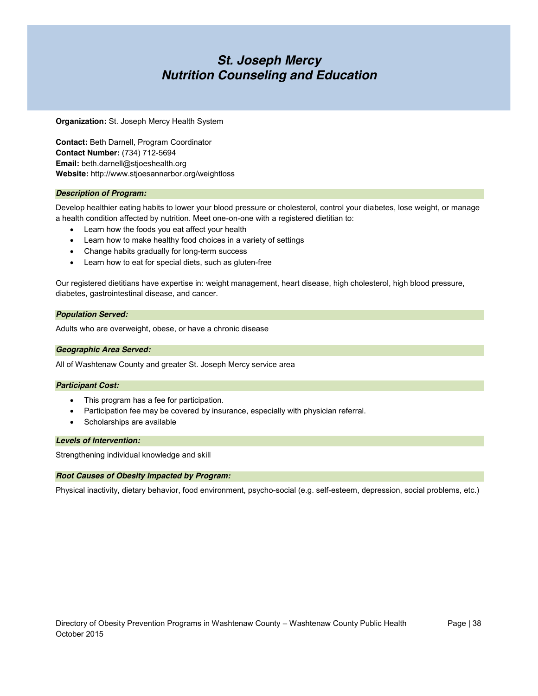### *St. Joseph Mercy Nutrition Counseling and Education*

**Organization:** St. Joseph Mercy Health System

**Contact:** Beth Darnell, Program Coordinator **Contact Number:** (734) 712-5694 **Email:** beth.darnell@stjoeshealth.org **Website:** http://www.stjoesannarbor.org/weightloss

#### *Description of Program:*

Develop healthier eating habits to lower your blood pressure or cholesterol, control your diabetes, lose weight, or manage a health condition affected by nutrition. Meet one-on-one with a registered dietitian to:

- Learn how the foods you eat affect your health
- Learn how to make healthy food choices in a variety of settings
- Change habits gradually for long-term success
- Learn how to eat for special diets, such as gluten-free

Our registered dietitians have expertise in: weight management, heart disease, high cholesterol, high blood pressure, diabetes, gastrointestinal disease, and cancer.

#### *Population Served:*

Adults who are overweight, obese, or have a chronic disease

#### *Geographic Area Served:*

All of Washtenaw County and greater St. Joseph Mercy service area

#### *Participant Cost:*

- This program has a fee for participation.
- Participation fee may be covered by insurance, especially with physician referral.
- Scholarships are available

#### *Levels of Intervention:*

Strengthening individual knowledge and skill

#### *Root Causes of Obesity Impacted by Program:*

Physical inactivity, dietary behavior, food environment, psycho-social (e.g. self-esteem, depression, social problems, etc.)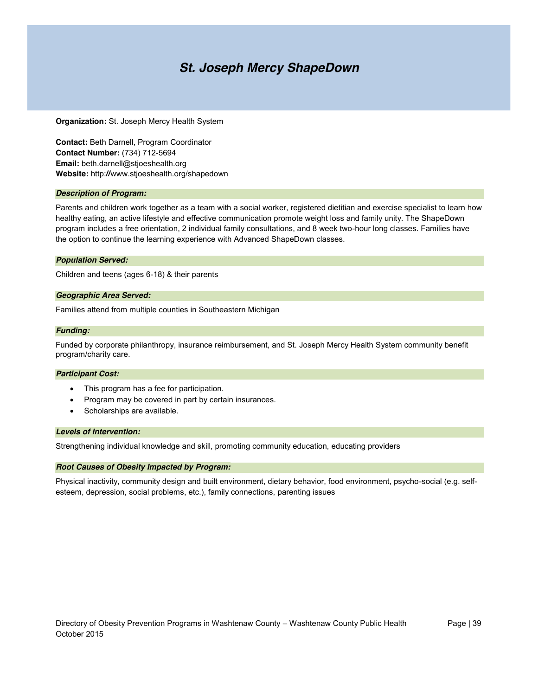### *St. Joseph Mercy ShapeDown*

**Organization:** St. Joseph Mercy Health System

**Contact:** Beth Darnell, Program Coordinator **Contact Number:** (734) 712-5694 **Email:** beth.darnell@stjoeshealth.org **Website:** http:**//**www.stjoeshealth.org/shapedown

#### *Description of Program:*

Parents and children work together as a team with a social worker, registered dietitian and exercise specialist to learn how healthy eating, an active lifestyle and effective communication promote weight loss and family unity. The ShapeDown program includes a free orientation, 2 individual family consultations, and 8 week two-hour long classes. Families have the option to continue the learning experience with Advanced ShapeDown classes.

#### *Population Served:*

Children and teens (ages 6-18) & their parents

#### *Geographic Area Served:*

Families attend from multiple counties in Southeastern Michigan

#### *Funding:*

Funded by corporate philanthropy, insurance reimbursement, and St. Joseph Mercy Health System community benefit program/charity care.

#### *Participant Cost:*

- This program has a fee for participation.
- Program may be covered in part by certain insurances.
- Scholarships are available.

#### *Levels of Intervention:*

Strengthening individual knowledge and skill, promoting community education, educating providers

#### *Root Causes of Obesity Impacted by Program:*

Physical inactivity, community design and built environment, dietary behavior, food environment, psycho-social (e.g. selfesteem, depression, social problems, etc.), family connections, parenting issues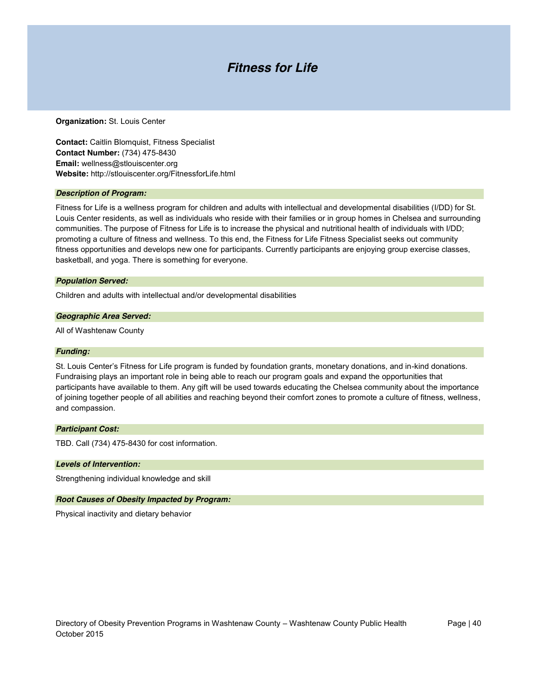### *Fitness for Life*

#### **Organization:** St. Louis Center

**Contact:** Caitlin Blomquist, Fitness Specialist **Contact Number:** (734) 475-8430 **Email:** wellness@stlouiscenter.org **Website:** http://stlouiscenter.org/FitnessforLife.html

#### *Description of Program:*

Fitness for Life is a wellness program for children and adults with intellectual and developmental disabilities (I/DD) for St. Louis Center residents, as well as individuals who reside with their families or in group homes in Chelsea and surrounding communities. The purpose of Fitness for Life is to increase the physical and nutritional health of individuals with I/DD; promoting a culture of fitness and wellness. To this end, the Fitness for Life Fitness Specialist seeks out community fitness opportunities and develops new one for participants. Currently participants are enjoying group exercise classes, basketball, and yoga. There is something for everyone.

#### *Population Served:*

Children and adults with intellectual and/or developmental disabilities

#### *Geographic Area Served:*

All of Washtenaw County

#### *Funding:*

St. Louis Center's Fitness for Life program is funded by foundation grants, monetary donations, and in-kind donations. Fundraising plays an important role in being able to reach our program goals and expand the opportunities that participants have available to them. Any gift will be used towards educating the Chelsea community about the importance of joining together people of all abilities and reaching beyond their comfort zones to promote a culture of fitness, wellness, and compassion.

#### *Participant Cost:*

TBD. Call (734) 475-8430 for cost information.

#### *Levels of Intervention:*

Strengthening individual knowledge and skill

#### *Root Causes of Obesity Impacted by Program:*

Physical inactivity and dietary behavior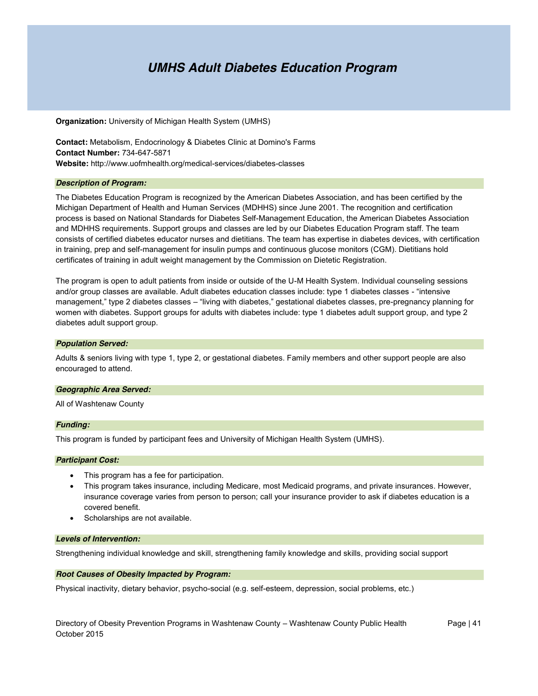### *UMHS Adult Diabetes Education Program*

**Organization:** University of Michigan Health System (UMHS)

**Contact:** Metabolism, Endocrinology & Diabetes Clinic at Domino's Farms **Contact Number:** 734-647-5871 **Website:** http://www.uofmhealth.org/medical-services/diabetes-classes

#### *Description of Program:*

The Diabetes Education Program is recognized by the American Diabetes Association, and has been certified by the Michigan Department of Health and Human Services (MDHHS) since June 2001. The recognition and certification process is based on National Standards for Diabetes Self-Management Education, the American Diabetes Association and MDHHS requirements. Support groups and classes are led by our Diabetes Education Program staff. The team consists of certified diabetes educator nurses and dietitians. The team has expertise in diabetes devices, with certification in training, prep and self-management for insulin pumps and continuous glucose monitors (CGM). Dietitians hold certificates of training in adult weight management by the Commission on Dietetic Registration.

The program is open to adult patients from inside or outside of the U-M Health System. Individual counseling sessions and/or group classes are available. Adult diabetes education classes include: type 1 diabetes classes - "intensive management," type 2 diabetes classes – "living with diabetes," gestational diabetes classes, pre-pregnancy planning for women with diabetes. Support groups for adults with diabetes include: type 1 diabetes adult support group, and type 2 diabetes adult support group.

#### *Population Served:*

Adults & seniors living with type 1, type 2, or gestational diabetes. Family members and other support people are also encouraged to attend.

#### *Geographic Area Served:*

All of Washtenaw County

#### *Funding:*

This program is funded by participant fees and University of Michigan Health System (UMHS).

#### *Participant Cost:*

- This program has a fee for participation.
- This program takes insurance, including Medicare, most Medicaid programs, and private insurances. However, insurance coverage varies from person to person; call your insurance provider to ask if diabetes education is a covered benefit.
- Scholarships are not available.

#### *Levels of Intervention:*

Strengthening individual knowledge and skill, strengthening family knowledge and skills, providing social support

#### *Root Causes of Obesity Impacted by Program:*

Physical inactivity, dietary behavior, psycho-social (e.g. self-esteem, depression, social problems, etc.)

Directory of Obesity Prevention Programs in Washtenaw County – Washtenaw County Public Health Page | 41 October 2015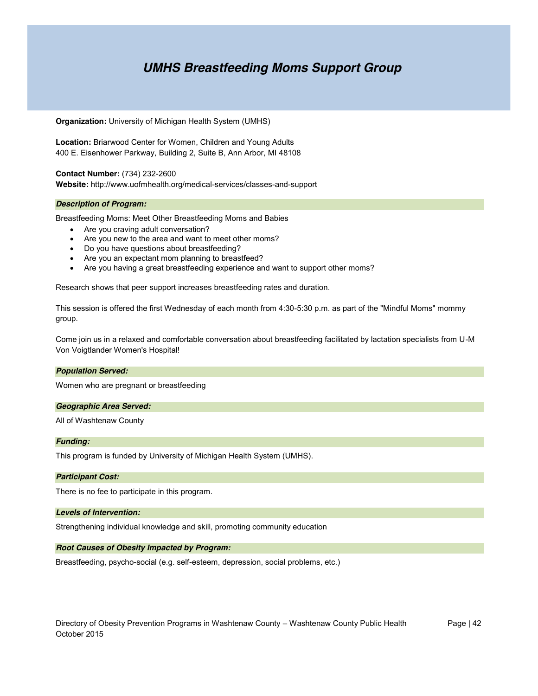### *UMHS Breastfeeding Moms Support Group*

**Organization:** University of Michigan Health System (UMHS)

**Location:** Briarwood Center for Women, Children and Young Adults 400 E. Eisenhower Parkway, Building 2, Suite B, Ann Arbor, MI 48108

**Contact Number:** (734) 232-2600 **Website:** http://www.uofmhealth.org/medical-services/classes-and-support

#### *Description of Program:*

Breastfeeding Moms: Meet Other Breastfeeding Moms and Babies

- Are you craving adult conversation?
- Are you new to the area and want to meet other moms?
- Do you have questions about breastfeeding?
- Are you an expectant mom planning to breastfeed?
- Are you having a great breastfeeding experience and want to support other moms?

Research shows that peer support increases breastfeeding rates and duration.

This session is offered the first Wednesday of each month from 4:30-5:30 p.m. as part of the "Mindful Moms" mommy group.

Come join us in a relaxed and comfortable conversation about breastfeeding facilitated by lactation specialists from U-M Von Voigtlander Women's Hospital!

#### *Population Served:*

Women who are pregnant or breastfeeding

#### *Geographic Area Served:*

All of Washtenaw County

#### *Funding:*

This program is funded by University of Michigan Health System (UMHS).

#### *Participant Cost:*

There is no fee to participate in this program.

#### *Levels of Intervention:*

Strengthening individual knowledge and skill, promoting community education

#### *Root Causes of Obesity Impacted by Program:*

Breastfeeding, psycho-social (e.g. self-esteem, depression, social problems, etc.)

Directory of Obesity Prevention Programs in Washtenaw County – Washtenaw County Public Health Page | 42 October 2015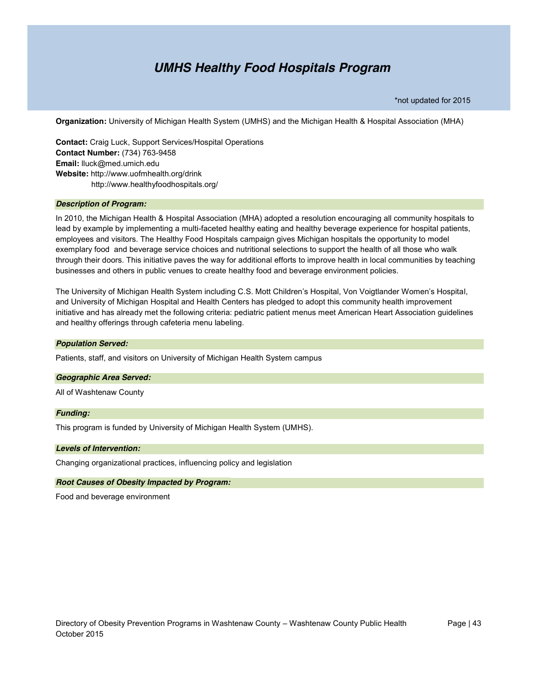### *UMHS Healthy Food Hospitals Program*

\*not updated for 2015

**Organization:** University of Michigan Health System (UMHS) and the Michigan Health & Hospital Association (MHA)

**Contact:** Craig Luck, Support Services/Hospital Operations **Contact Number:** (734) 763-9458 **Email:** lluck@med.umich.edu **Website:** http://www.uofmhealth.org/drink http://www.healthyfoodhospitals.org/

#### *Description of Program:*

In 2010, the Michigan Health & Hospital Association (MHA) adopted a resolution encouraging all community hospitals to lead by example by implementing a multi-faceted healthy eating and healthy beverage experience for hospital patients, employees and visitors. The Healthy Food Hospitals campaign gives Michigan hospitals the opportunity to model exemplary food and beverage service choices and nutritional selections to support the health of all those who walk through their doors. This initiative paves the way for additional efforts to improve health in local communities by teaching businesses and others in public venues to create healthy food and beverage environment policies.

The University of Michigan Health System including C.S. Mott Children's Hospital, Von Voigtlander Women's Hospital, and University of Michigan Hospital and Health Centers has pledged to adopt this community health improvement initiative and has already met the following criteria: pediatric patient menus meet American Heart Association guidelines and healthy offerings through cafeteria menu labeling.

#### *Population Served:*

Patients, staff, and visitors on University of Michigan Health System campus

#### *Geographic Area Served:*

All of Washtenaw County

#### *Funding:*

This program is funded by University of Michigan Health System (UMHS).

#### *Levels of Intervention:*

Changing organizational practices, influencing policy and legislation

#### *Root Causes of Obesity Impacted by Program:*

Food and beverage environment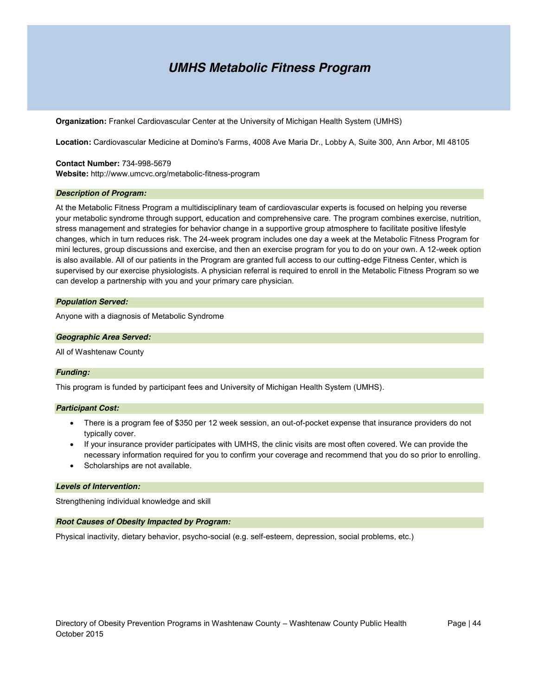### *UMHS Metabolic Fitness Program*

**Organization:** Frankel Cardiovascular Center at the University of Michigan Health System (UMHS)

**Location:** Cardiovascular Medicine at Domino's Farms, 4008 Ave Maria Dr., Lobby A, Suite 300, Ann Arbor, MI 48105

**Contact Number:** 734-998-5679 **Website:** http://www.umcvc.org/metabolic-fitness-program

#### *Description of Program:*

At the Metabolic Fitness Program a multidisciplinary team of cardiovascular experts is focused on helping you reverse your metabolic syndrome through support, education and comprehensive care. The program combines exercise, nutrition, stress management and strategies for behavior change in a supportive group atmosphere to facilitate positive lifestyle changes, which in turn reduces risk. The 24-week program includes one day a week at the Metabolic Fitness Program for mini lectures, group discussions and exercise, and then an exercise program for you to do on your own. A 12-week option is also available. All of our patients in the Program are granted full access to our cutting-edge Fitness Center, which is supervised by our exercise physiologists. A physician referral is required to enroll in the Metabolic Fitness Program so we can develop a partnership with you and your primary care physician.

#### *Population Served:*

Anyone with a diagnosis of Metabolic Syndrome

#### *Geographic Area Served:*

All of Washtenaw County

#### *Funding:*

This program is funded by participant fees and University of Michigan Health System (UMHS).

#### *Participant Cost:*

- There is a program fee of \$350 per 12 week session, an out-of-pocket expense that insurance providers do not typically cover.
- If your insurance provider participates with UMHS, the clinic visits are most often covered. We can provide the necessary information required for you to confirm your coverage and recommend that you do so prior to enrolling.
- Scholarships are not available.

#### *Levels of Intervention:*

Strengthening individual knowledge and skill

#### *Root Causes of Obesity Impacted by Program:*

Physical inactivity, dietary behavior, psycho-social (e.g. self-esteem, depression, social problems, etc.)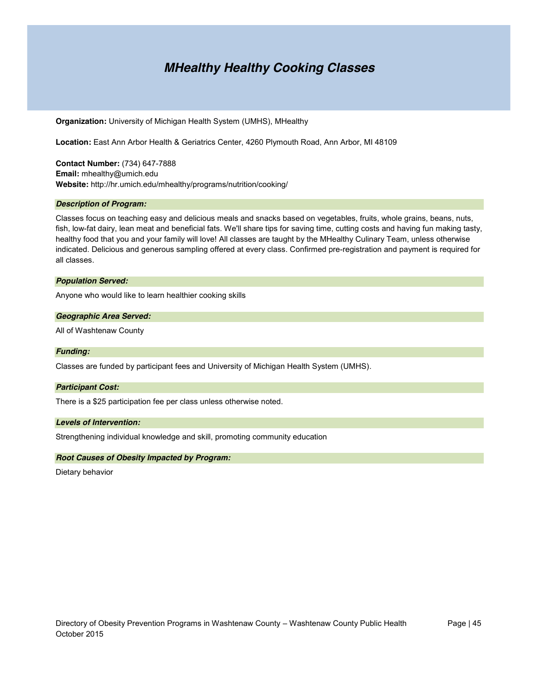### *MHealthy Healthy Cooking Classes*

**Organization:** University of Michigan Health System (UMHS), MHealthy

**Location:** East Ann Arbor Health & Geriatrics Center, 4260 Plymouth Road, Ann Arbor, MI 48109

**Contact Number:** (734) 647-7888 **Email:** mhealthy@umich.edu **Website:** http://hr.umich.edu/mhealthy/programs/nutrition/cooking/

#### *Description of Program:*

Classes focus on teaching easy and delicious meals and snacks based on vegetables, fruits, whole grains, beans, nuts, fish, low-fat dairy, lean meat and beneficial fats. We'll share tips for saving time, cutting costs and having fun making tasty, healthy food that you and your family will love! All classes are taught by the MHealthy Culinary Team, unless otherwise indicated. Delicious and generous sampling offered at every class. Confirmed pre-registration and payment is required for all classes.

#### *Population Served:*

Anyone who would like to learn healthier cooking skills

#### *Geographic Area Served:*

All of Washtenaw County

#### *Funding:*

Classes are funded by participant fees and University of Michigan Health System (UMHS).

#### *Participant Cost:*

There is a \$25 participation fee per class unless otherwise noted.

#### *Levels of Intervention:*

Strengthening individual knowledge and skill, promoting community education

#### *Root Causes of Obesity Impacted by Program:*

Dietary behavior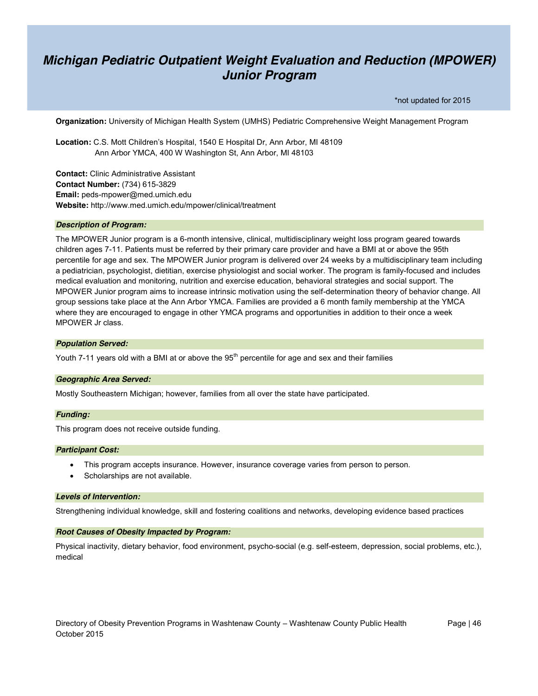### *Michigan Pediatric Outpatient Weight Evaluation and Reduction (MPOWER) Junior Program*

\*not updated for 2015

**Organization:** University of Michigan Health System (UMHS) Pediatric Comprehensive Weight Management Program

**Location:** C.S. Mott Children's Hospital, 1540 E Hospital Dr, Ann Arbor, MI 48109 Ann Arbor YMCA, 400 W Washington St, Ann Arbor, MI 48103

**Contact:** Clinic Administrative Assistant **Contact Number:** (734) 615-3829 **Email:** peds-mpower@med.umich.edu **Website:** http://www.med.umich.edu/mpower/clinical/treatment

#### *Description of Program:*

The MPOWER Junior program is a 6-month intensive, clinical, multidisciplinary weight loss program geared towards children ages 7-11. Patients must be referred by their primary care provider and have a BMI at or above the 95th percentile for age and sex. The MPOWER Junior program is delivered over 24 weeks by a multidisciplinary team including a pediatrician, psychologist, dietitian, exercise physiologist and social worker. The program is family-focused and includes medical evaluation and monitoring, nutrition and exercise education, behavioral strategies and social support. The MPOWER Junior program aims to increase intrinsic motivation using the self-determination theory of behavior change. All group sessions take place at the Ann Arbor YMCA. Families are provided a 6 month family membership at the YMCA where they are encouraged to engage in other YMCA programs and opportunities in addition to their once a week MPOWER Jr class.

#### *Population Served:*

Youth 7-11 years old with a BMI at or above the 95<sup>th</sup> percentile for age and sex and their families

#### *Geographic Area Served:*

Mostly Southeastern Michigan; however, families from all over the state have participated.

#### *Funding:*

This program does not receive outside funding.

#### *Participant Cost:*

- This program accepts insurance. However, insurance coverage varies from person to person.
- Scholarships are not available.

#### *Levels of Intervention:*

Strengthening individual knowledge, skill and fostering coalitions and networks, developing evidence based practices

#### *Root Causes of Obesity Impacted by Program:*

Physical inactivity, dietary behavior, food environment, psycho-social (e.g. self-esteem, depression, social problems, etc.), medical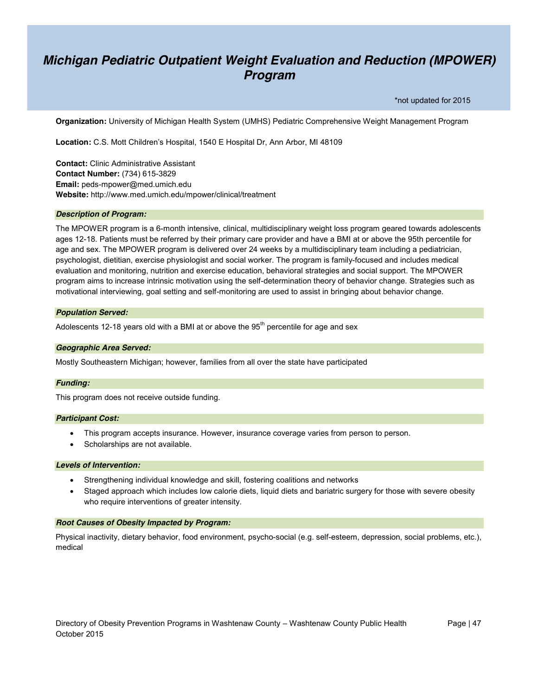### *Michigan Pediatric Outpatient Weight Evaluation and Reduction (MPOWER) Program*

\*not updated for 2015

**Organization:** University of Michigan Health System (UMHS) Pediatric Comprehensive Weight Management Program

**Location:** C.S. Mott Children's Hospital, 1540 E Hospital Dr, Ann Arbor, MI 48109

**Contact:** Clinic Administrative Assistant **Contact Number:** (734) 615-3829 **Email:** peds-mpower@med.umich.edu **Website:** http://www.med.umich.edu/mpower/clinical/treatment

#### *Description of Program:*

The MPOWER program is a 6-month intensive, clinical, multidisciplinary weight loss program geared towards adolescents ages 12-18. Patients must be referred by their primary care provider and have a BMI at or above the 95th percentile for age and sex. The MPOWER program is delivered over 24 weeks by a multidisciplinary team including a pediatrician, psychologist, dietitian, exercise physiologist and social worker. The program is family-focused and includes medical evaluation and monitoring, nutrition and exercise education, behavioral strategies and social support. The MPOWER program aims to increase intrinsic motivation using the self-determination theory of behavior change. Strategies such as motivational interviewing, goal setting and self-monitoring are used to assist in bringing about behavior change.

#### *Population Served:*

Adolescents 12-18 years old with a BMI at or above the  $95<sup>th</sup>$  percentile for age and sex

#### *Geographic Area Served:*

Mostly Southeastern Michigan; however, families from all over the state have participated

#### *Funding:*

This program does not receive outside funding.

#### *Participant Cost:*

- This program accepts insurance. However, insurance coverage varies from person to person.
- Scholarships are not available.

#### *Levels of Intervention:*

- Strengthening individual knowledge and skill, fostering coalitions and networks
- Staged approach which includes low calorie diets, liquid diets and bariatric surgery for those with severe obesity who require interventions of greater intensity.

#### *Root Causes of Obesity Impacted by Program:*

Physical inactivity, dietary behavior, food environment, psycho-social (e.g. self-esteem, depression, social problems, etc.), medical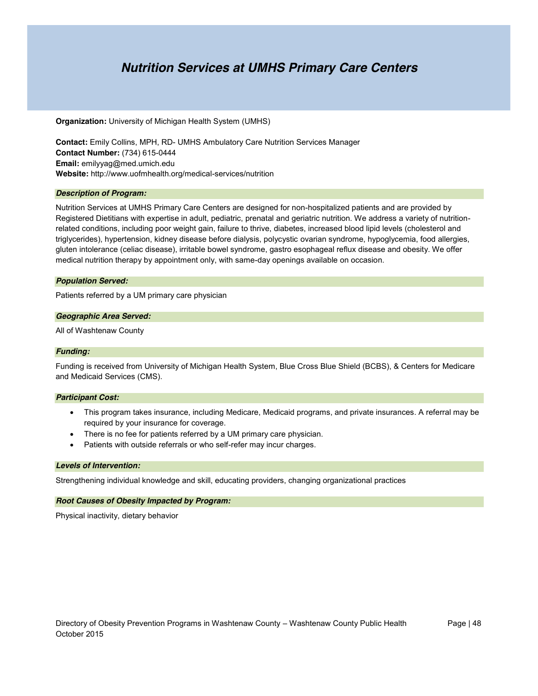### *Nutrition Services at UMHS Primary Care Centers*

**Organization:** University of Michigan Health System (UMHS)

**Contact:** Emily Collins, MPH, RD- UMHS Ambulatory Care Nutrition Services Manager **Contact Number:** (734) 615-0444 **Email:** emilyyag@med.umich.edu **Website:** http://www.uofmhealth.org/medical-services/nutrition

#### *Description of Program:*

Nutrition Services at UMHS Primary Care Centers are designed for non-hospitalized patients and are provided by Registered Dietitians with expertise in adult, pediatric, prenatal and geriatric nutrition. We address a variety of nutritionrelated conditions, including poor weight gain, failure to thrive, diabetes, increased blood lipid levels (cholesterol and triglycerides), hypertension, kidney disease before dialysis, polycystic ovarian syndrome, hypoglycemia, food allergies, gluten intolerance (celiac disease), irritable bowel syndrome, gastro esophageal reflux disease and obesity. We offer medical nutrition therapy by appointment only, with same-day openings available on occasion.

#### *Population Served:*

Patients referred by a UM primary care physician

#### *Geographic Area Served:*

All of Washtenaw County

#### *Funding:*

Funding is received from University of Michigan Health System, Blue Cross Blue Shield (BCBS), & Centers for Medicare and Medicaid Services (CMS).

#### *Participant Cost:*

- This program takes insurance, including Medicare, Medicaid programs, and private insurances. A referral may be required by your insurance for coverage.
- There is no fee for patients referred by a UM primary care physician.
- Patients with outside referrals or who self-refer may incur charges.

#### *Levels of Intervention:*

Strengthening individual knowledge and skill, educating providers, changing organizational practices

#### *Root Causes of Obesity Impacted by Program:*

Physical inactivity, dietary behavior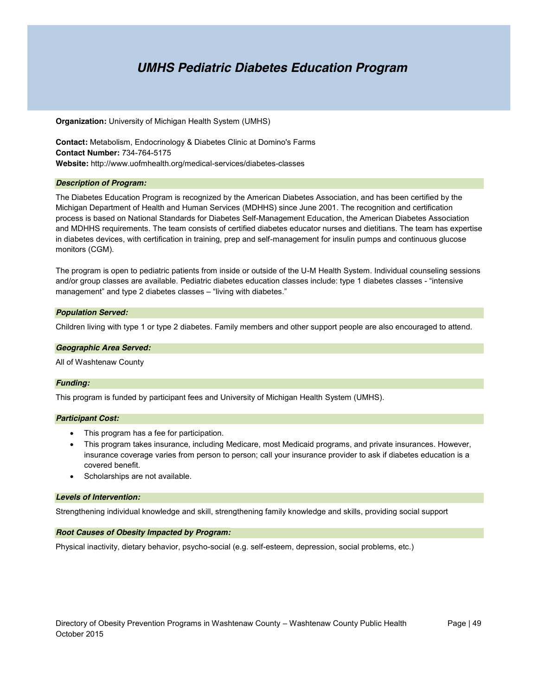### *UMHS Pediatric Diabetes Education Program*

**Organization:** University of Michigan Health System (UMHS)

**Contact:** Metabolism, Endocrinology & Diabetes Clinic at Domino's Farms **Contact Number:** 734-764-5175 **Website:** http://www.uofmhealth.org/medical-services/diabetes-classes

#### *Description of Program:*

The Diabetes Education Program is recognized by the American Diabetes Association, and has been certified by the Michigan Department of Health and Human Services (MDHHS) since June 2001. The recognition and certification process is based on National Standards for Diabetes Self-Management Education, the American Diabetes Association and MDHHS requirements. The team consists of certified diabetes educator nurses and dietitians. The team has expertise in diabetes devices, with certification in training, prep and self-management for insulin pumps and continuous glucose monitors (CGM).

The program is open to pediatric patients from inside or outside of the U-M Health System. Individual counseling sessions and/or group classes are available. Pediatric diabetes education classes include: type 1 diabetes classes - "intensive management" and type 2 diabetes classes – "living with diabetes."

#### *Population Served:*

Children living with type 1 or type 2 diabetes. Family members and other support people are also encouraged to attend.

#### *Geographic Area Served:*

All of Washtenaw County

#### *Funding:*

This program is funded by participant fees and University of Michigan Health System (UMHS).

#### *Participant Cost:*

- This program has a fee for participation.
- This program takes insurance, including Medicare, most Medicaid programs, and private insurances. However, insurance coverage varies from person to person; call your insurance provider to ask if diabetes education is a covered benefit.
- Scholarships are not available.

#### *Levels of Intervention:*

Strengthening individual knowledge and skill, strengthening family knowledge and skills, providing social support

#### *Root Causes of Obesity Impacted by Program:*

Physical inactivity, dietary behavior, psycho-social (e.g. self-esteem, depression, social problems, etc.)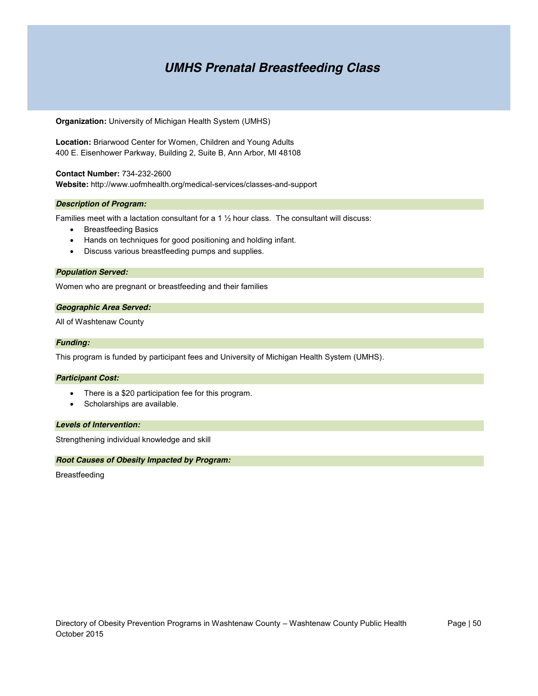### *UMHS Prenatal Breastfeeding Class*

**Organization:** University of Michigan Health System (UMHS)

**Location:** Briarwood Center for Women, Children and Young Adults 400 E. Eisenhower Parkway, Building 2, Suite B, Ann Arbor, MI 48108

**Contact Number:** 734-232-2600 **Website:** http://www.uofmhealth.org/medical-services/classes-and-support

#### *Description of Program:*

Families meet with a lactation consultant for a 1 ½ hour class. The consultant will discuss:

- Breastfeeding Basics
- Hands on techniques for good positioning and holding infant.
- Discuss various breastfeeding pumps and supplies.

#### *Population Served:*

Women who are pregnant or breastfeeding and their families

#### *Geographic Area Served:*

All of Washtenaw County

#### *Funding:*

This program is funded by participant fees and University of Michigan Health System (UMHS).

#### *Participant Cost:*

- There is a \$20 participation fee for this program.
- Scholarships are available.

#### *Levels of Intervention:*

Strengthening individual knowledge and skill

#### *Root Causes of Obesity Impacted by Program:*

Breastfeeding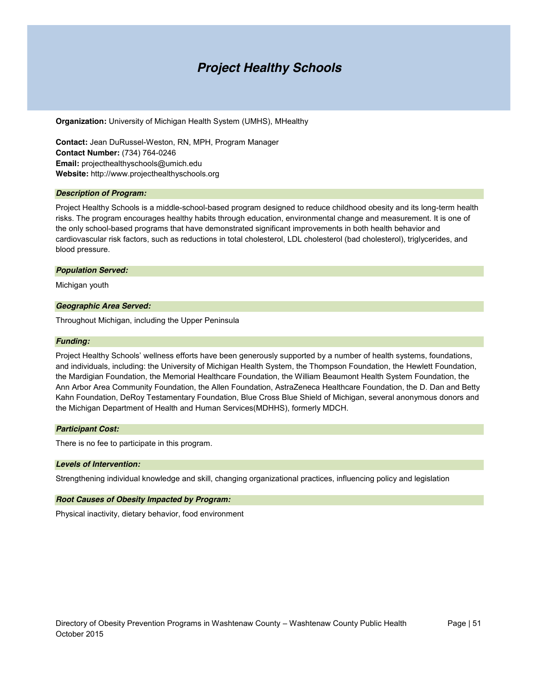### *Project Healthy Schools*

**Organization:** University of Michigan Health System (UMHS), MHealthy

**Contact:** Jean DuRussel-Weston, RN, MPH, Program Manager **Contact Number:** (734) 764-0246 **Email:** projecthealthyschools@umich.edu **Website:** http://www.projecthealthyschools.org

#### *Description of Program:*

Project Healthy Schools is a middle-school-based program designed to reduce childhood obesity and its long-term health risks. The program encourages healthy habits through education, environmental change and measurement. It is one of the only school-based programs that have demonstrated significant improvements in both health behavior and cardiovascular risk factors, such as reductions in total cholesterol, LDL cholesterol (bad cholesterol), triglycerides, and blood pressure.

#### *Population Served:*

Michigan youth

#### *Geographic Area Served:*

Throughout Michigan, including the Upper Peninsula

#### *Funding:*

Project Healthy Schools' wellness efforts have been generously supported by a number of health systems, foundations, and individuals, including: the University of Michigan Health System, the Thompson Foundation, the Hewlett Foundation, the Mardigian Foundation, the Memorial Healthcare Foundation, the William Beaumont Health System Foundation, the Ann Arbor Area Community Foundation, the Allen Foundation, AstraZeneca Healthcare Foundation, the D. Dan and Betty Kahn Foundation, DeRoy Testamentary Foundation, Blue Cross Blue Shield of Michigan, several anonymous donors and the Michigan Department of Health and Human Services(MDHHS), formerly MDCH.

#### *Participant Cost:*

There is no fee to participate in this program.

#### *Levels of Intervention:*

Strengthening individual knowledge and skill, changing organizational practices, influencing policy and legislation

#### *Root Causes of Obesity Impacted by Program:*

Physical inactivity, dietary behavior, food environment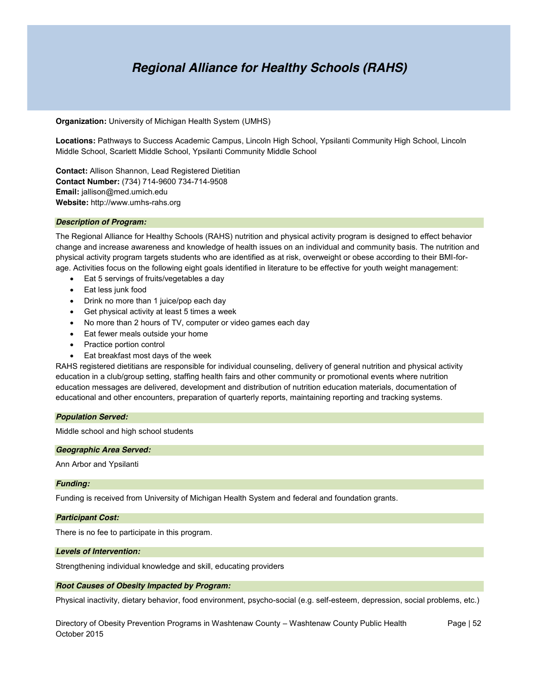### *Regional Alliance for Healthy Schools (RAHS)*

**Organization:** University of Michigan Health System (UMHS)

**Locations:** Pathways to Success Academic Campus, Lincoln High School, Ypsilanti Community High School, Lincoln Middle School, Scarlett Middle School, Ypsilanti Community Middle School

**Contact:** Allison Shannon, Lead Registered Dietitian **Contact Number:** (734) 714-9600 734-714-9508 **Email:** jallison@med.umich.edu **Website:** http://www.umhs-rahs.org

#### *Description of Program:*

The Regional Alliance for Healthy Schools (RAHS) nutrition and physical activity program is designed to effect behavior change and increase awareness and knowledge of health issues on an individual and community basis. The nutrition and physical activity program targets students who are identified as at risk, overweight or obese according to their BMI-forage. Activities focus on the following eight goals identified in literature to be effective for youth weight management:

- Eat 5 servings of fruits/vegetables a day
- Eat less junk food
- Drink no more than 1 juice/pop each day
- $\bullet$  Get physical activity at least 5 times a week
- No more than 2 hours of TV, computer or video games each day
- Eat fewer meals outside your home
- Practice portion control
- Eat breakfast most days of the week

RAHS registered dietitians are responsible for individual counseling, delivery of general nutrition and physical activity education in a club/group setting, staffing health fairs and other community or promotional events where nutrition education messages are delivered, development and distribution of nutrition education materials, documentation of educational and other encounters, preparation of quarterly reports, maintaining reporting and tracking systems.

#### *Population Served:*

Middle school and high school students

#### *Geographic Area Served:*

Ann Arbor and Ypsilanti

#### *Funding:*

Funding is received from University of Michigan Health System and federal and foundation grants.

#### *Participant Cost:*

There is no fee to participate in this program.

#### *Levels of Intervention:*

Strengthening individual knowledge and skill, educating providers

#### *Root Causes of Obesity Impacted by Program:*

Physical inactivity, dietary behavior, food environment, psycho-social (e.g. self-esteem, depression, social problems, etc.)

Directory of Obesity Prevention Programs in Washtenaw County – Washtenaw County Public Health Page | 52 October 2015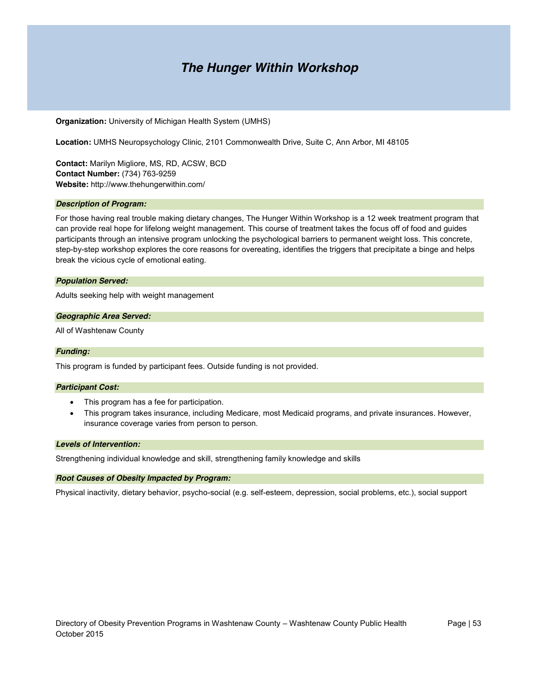### *The Hunger Within Workshop*

#### **Organization:** University of Michigan Health System (UMHS)

**Location:** UMHS Neuropsychology Clinic, 2101 Commonwealth Drive, Suite C, Ann Arbor, MI 48105

**Contact:** Marilyn Migliore, MS, RD, ACSW, BCD **Contact Number:** (734) 763-9259 **Website:** http://www.thehungerwithin.com/

#### *Description of Program:*

For those having real trouble making dietary changes, The Hunger Within Workshop is a 12 week treatment program that can provide real hope for lifelong weight management. This course of treatment takes the focus off of food and guides participants through an intensive program unlocking the psychological barriers to permanent weight loss. This concrete, step-by-step workshop explores the core reasons for overeating, identifies the triggers that precipitate a binge and helps break the vicious cycle of emotional eating.

#### *Population Served:*

Adults seeking help with weight management

#### *Geographic Area Served:*

All of Washtenaw County

#### *Funding:*

This program is funded by participant fees. Outside funding is not provided.

#### *Participant Cost:*

- This program has a fee for participation.
- This program takes insurance, including Medicare, most Medicaid programs, and private insurances. However, insurance coverage varies from person to person.

#### *Levels of Intervention:*

Strengthening individual knowledge and skill, strengthening family knowledge and skills

#### *Root Causes of Obesity Impacted by Program:*

Physical inactivity, dietary behavior, psycho-social (e.g. self-esteem, depression, social problems, etc.), social support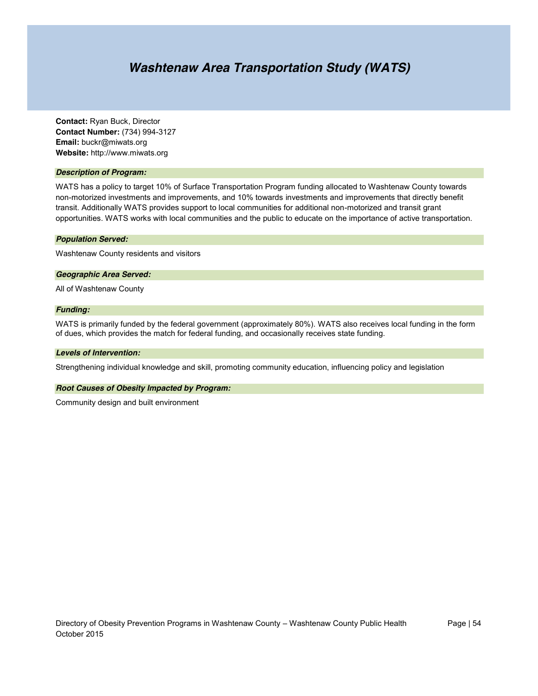### *Washtenaw Area Transportation Study (WATS)*

**Contact:** Ryan Buck, Director **Contact Number:** (734) 994-3127 **Email:** buckr@miwats.org **Website:** http://www.miwats.org

#### *Description of Program:*

WATS has a policy to target 10% of Surface Transportation Program funding allocated to Washtenaw County towards non-motorized investments and improvements, and 10% towards investments and improvements that directly benefit transit. Additionally WATS provides support to local communities for additional non-motorized and transit grant opportunities. WATS works with local communities and the public to educate on the importance of active transportation.

#### *Population Served:*

Washtenaw County residents and visitors

#### *Geographic Area Served:*

All of Washtenaw County

#### *Funding:*

WATS is primarily funded by the federal government (approximately 80%). WATS also receives local funding in the form of dues, which provides the match for federal funding, and occasionally receives state funding.

#### *Levels of Intervention:*

Strengthening individual knowledge and skill, promoting community education, influencing policy and legislation

#### *Root Causes of Obesity Impacted by Program:*

Community design and built environment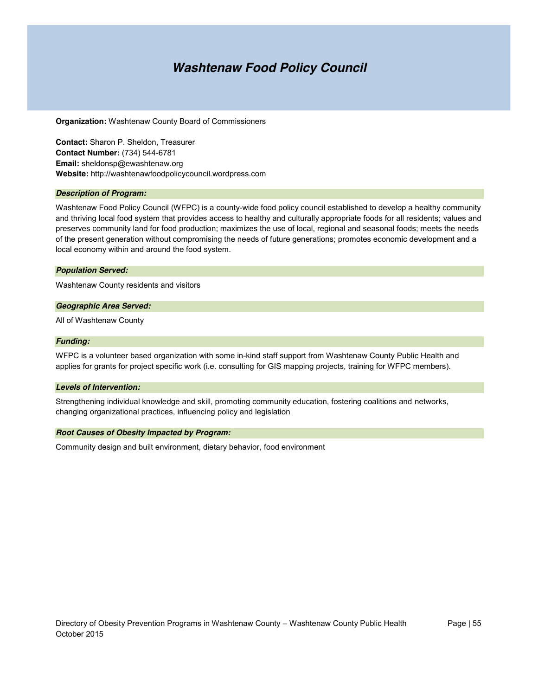### *Washtenaw Food Policy Council*

**Organization:** Washtenaw County Board of Commissioners

**Contact:** Sharon P. Sheldon, Treasurer **Contact Number:** (734) 544-6781 **Email:** sheldonsp@ewashtenaw.org **Website:** http://washtenawfoodpolicycouncil.wordpress.com

#### *Description of Program:*

Washtenaw Food Policy Council (WFPC) is a county-wide food policy council established to develop a healthy community and thriving local food system that provides access to healthy and culturally appropriate foods for all residents; values and preserves community land for food production; maximizes the use of local, regional and seasonal foods; meets the needs of the present generation without compromising the needs of future generations; promotes economic development and a local economy within and around the food system.

#### *Population Served:*

Washtenaw County residents and visitors

#### *Geographic Area Served:*

All of Washtenaw County

#### *Funding:*

WFPC is a volunteer based organization with some in-kind staff support from Washtenaw County Public Health and applies for grants for project specific work (i.e. consulting for GIS mapping projects, training for WFPC members).

#### *Levels of Intervention:*

Strengthening individual knowledge and skill, promoting community education, fostering coalitions and networks, changing organizational practices, influencing policy and legislation

#### *Root Causes of Obesity Impacted by Program:*

Community design and built environment, dietary behavior, food environment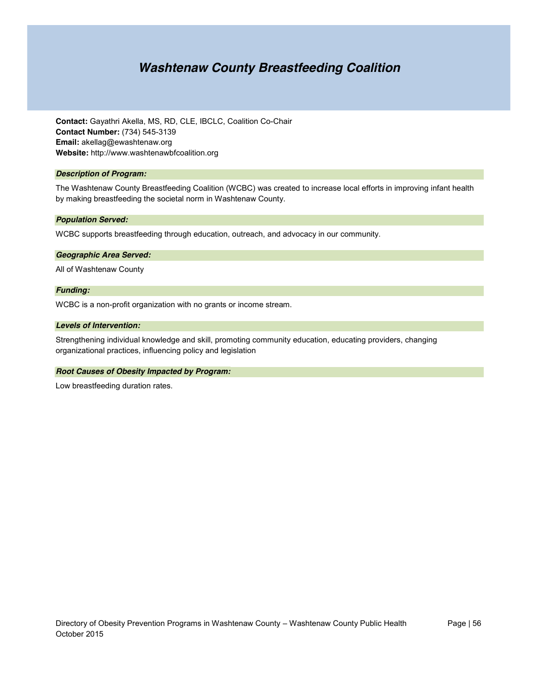### *Washtenaw County Breastfeeding Coalition*

**Contact:** Gayathri Akella, MS, RD, CLE, IBCLC, Coalition Co-Chair **Contact Number:** (734) 545-3139 **Email:** akellag@ewashtenaw.org **Website:** http://www.washtenawbfcoalition.org

#### *Description of Program:*

The Washtenaw County Breastfeeding Coalition (WCBC) was created to increase local efforts in improving infant health by making breastfeeding the societal norm in Washtenaw County.

#### *Population Served:*

WCBC supports breastfeeding through education, outreach, and advocacy in our community.

#### *Geographic Area Served:*

All of Washtenaw County

#### *Funding:*

WCBC is a non-profit organization with no grants or income stream.

#### *Levels of Intervention:*

Strengthening individual knowledge and skill, promoting community education, educating providers, changing organizational practices, influencing policy and legislation

#### *Root Causes of Obesity Impacted by Program:*

Low breastfeeding duration rates.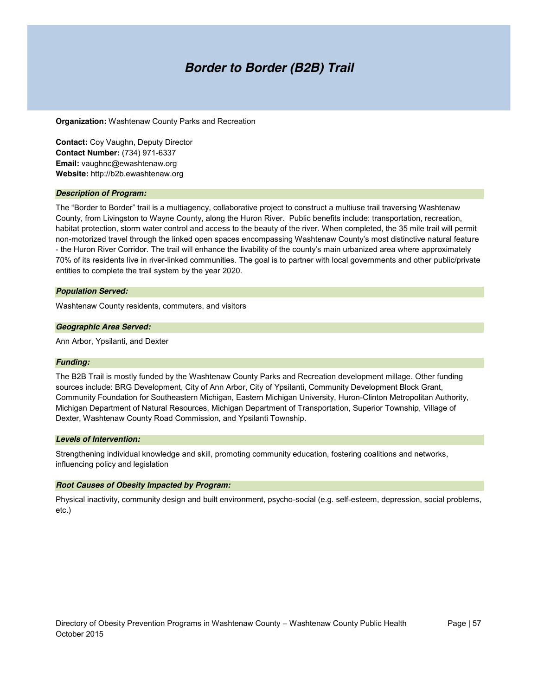### *Border to Border (B2B) Trail*

**Organization:** Washtenaw County Parks and Recreation

**Contact:** Coy Vaughn, Deputy Director **Contact Number:** (734) 971-6337 **Email:** vaughnc@ewashtenaw.org **Website:** http://b2b.ewashtenaw.org

#### *Description of Program:*

The "Border to Border" trail is a multiagency, collaborative project to construct a multiuse trail traversing Washtenaw County, from Livingston to Wayne County, along the Huron River. Public benefits include: transportation, recreation, habitat protection, storm water control and access to the beauty of the river. When completed, the 35 mile trail will permit non-motorized travel through the linked open spaces encompassing Washtenaw County's most distinctive natural feature - the Huron River Corridor. The trail will enhance the livability of the county's main urbanized area where approximately 70% of its residents live in river-linked communities. The goal is to partner with local governments and other public/private entities to complete the trail system by the year 2020.

#### *Population Served:*

Washtenaw County residents, commuters, and visitors

#### *Geographic Area Served:*

Ann Arbor, Ypsilanti, and Dexter

#### *Funding:*

The B2B Trail is mostly funded by the Washtenaw County Parks and Recreation development millage. Other funding sources include: BRG Development, City of Ann Arbor, City of Ypsilanti, Community Development Block Grant, Community Foundation for Southeastern Michigan, Eastern Michigan University, Huron-Clinton Metropolitan Authority, Michigan Department of Natural Resources, Michigan Department of Transportation, Superior Township, Village of Dexter, Washtenaw County Road Commission, and Ypsilanti Township.

#### *Levels of Intervention:*

Strengthening individual knowledge and skill, promoting community education, fostering coalitions and networks, influencing policy and legislation

#### *Root Causes of Obesity Impacted by Program:*

Physical inactivity, community design and built environment, psycho-social (e.g. self-esteem, depression, social problems, etc.)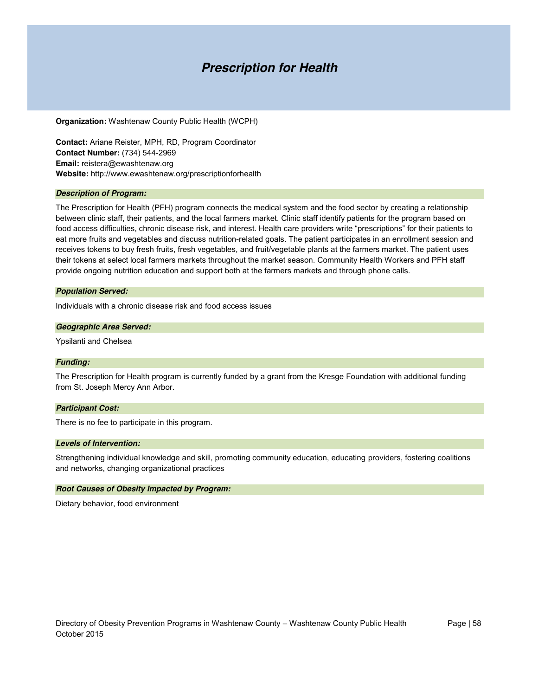### *Prescription for Health*

**Organization:** Washtenaw County Public Health (WCPH)

**Contact:** Ariane Reister, MPH, RD, Program Coordinator **Contact Number:** (734) 544-2969 **Email:** reistera@ewashtenaw.org **Website:** http://www.ewashtenaw.org/prescriptionforhealth

#### *Description of Program:*

The Prescription for Health (PFH) program connects the medical system and the food sector by creating a relationship between clinic staff, their patients, and the local farmers market. Clinic staff identify patients for the program based on food access difficulties, chronic disease risk, and interest. Health care providers write "prescriptions" for their patients to eat more fruits and vegetables and discuss nutrition-related goals. The patient participates in an enrollment session and receives tokens to buy fresh fruits, fresh vegetables, and fruit/vegetable plants at the farmers market. The patient uses their tokens at select local farmers markets throughout the market season. Community Health Workers and PFH staff provide ongoing nutrition education and support both at the farmers markets and through phone calls.

#### *Population Served:*

Individuals with a chronic disease risk and food access issues

#### *Geographic Area Served:*

Ypsilanti and Chelsea

#### *Funding:*

The Prescription for Health program is currently funded by a grant from the Kresge Foundation with additional funding from St. Joseph Mercy Ann Arbor.

#### *Participant Cost:*

There is no fee to participate in this program.

#### *Levels of Intervention:*

Strengthening individual knowledge and skill, promoting community education, educating providers, fostering coalitions and networks, changing organizational practices

#### *Root Causes of Obesity Impacted by Program:*

Dietary behavior, food environment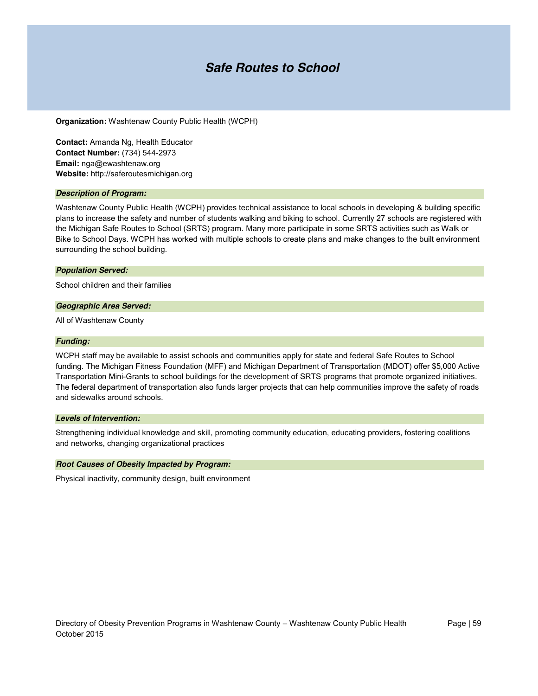### *Safe Routes to School*

**Organization:** Washtenaw County Public Health (WCPH)

**Contact:** Amanda Ng, Health Educator **Contact Number:** (734) 544-2973 **Email:** nga@ewashtenaw.org **Website:** http://saferoutesmichigan.org

#### *Description of Program:*

Washtenaw County Public Health (WCPH) provides technical assistance to local schools in developing & building specific plans to increase the safety and number of students walking and biking to school. Currently 27 schools are registered with the Michigan Safe Routes to School (SRTS) program. Many more participate in some SRTS activities such as Walk or Bike to School Days. WCPH has worked with multiple schools to create plans and make changes to the built environment surrounding the school building.

#### *Population Served:*

School children and their families

#### *Geographic Area Served:*

All of Washtenaw County

#### *Funding:*

WCPH staff may be available to assist schools and communities apply for state and federal Safe Routes to School funding. The Michigan Fitness Foundation (MFF) and Michigan Department of Transportation (MDOT) offer \$5,000 Active Transportation Mini-Grants to school buildings for the development of SRTS programs that promote organized initiatives. The federal department of transportation also funds larger projects that can help communities improve the safety of roads and sidewalks around schools.

#### *Levels of Intervention:*

Strengthening individual knowledge and skill, promoting community education, educating providers, fostering coalitions and networks, changing organizational practices

#### *Root Causes of Obesity Impacted by Program:*

Physical inactivity, community design, built environment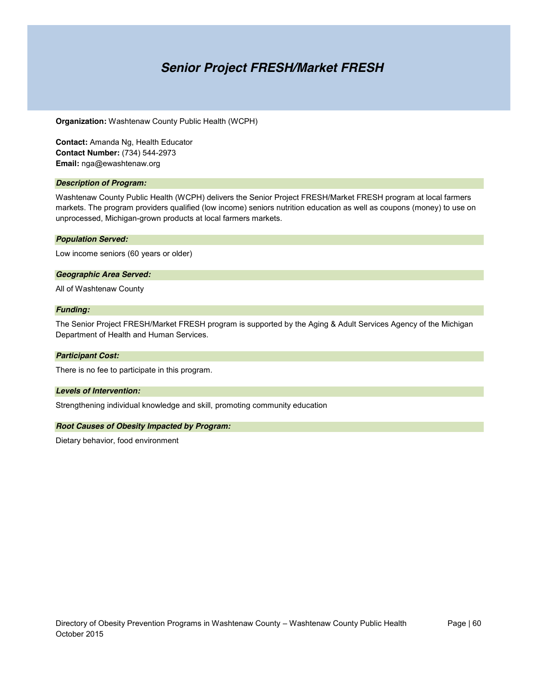### *Senior Project FRESH/Market FRESH*

**Organization:** Washtenaw County Public Health (WCPH)

**Contact:** Amanda Ng, Health Educator **Contact Number:** (734) 544-2973 **Email:** nga@ewashtenaw.org

#### *Description of Program:*

Washtenaw County Public Health (WCPH) delivers the Senior Project FRESH/Market FRESH program at local farmers markets. The program providers qualified (low income) seniors nutrition education as well as coupons (money) to use on unprocessed, Michigan-grown products at local farmers markets.

#### *Population Served:*

Low income seniors (60 years or older)

#### *Geographic Area Served:*

All of Washtenaw County

#### *Funding:*

The Senior Project FRESH/Market FRESH program is supported by the Aging & Adult Services Agency of the Michigan Department of Health and Human Services.

#### *Participant Cost:*

There is no fee to participate in this program.

#### *Levels of Intervention:*

Strengthening individual knowledge and skill, promoting community education

#### *Root Causes of Obesity Impacted by Program:*

Dietary behavior, food environment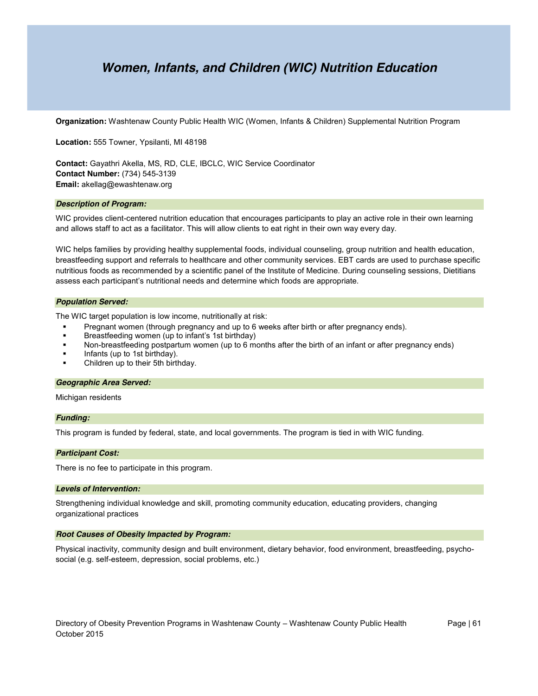### *Women, Infants, and Children (WIC) Nutrition Education*

**Organization:** Washtenaw County Public Health WIC (Women, Infants & Children) Supplemental Nutrition Program

**Location:** 555 Towner, Ypsilanti, MI 48198

**Contact:** Gayathri Akella, MS, RD, CLE, IBCLC, WIC Service Coordinator **Contact Number:** (734) 545-3139 **Email:** akellag@ewashtenaw.org

#### *Description of Program:*

WIC provides client-centered nutrition education that encourages participants to play an active role in their own learning and allows staff to act as a facilitator. This will allow clients to eat right in their own way every day.

WIC helps families by providing healthy supplemental foods, individual counseling, group nutrition and health education, breastfeeding support and referrals to healthcare and other community services. EBT cards are used to purchase specific nutritious foods as recommended by a scientific panel of the Institute of Medicine. During counseling sessions, Dietitians assess each participant's nutritional needs and determine which foods are appropriate.

#### *Population Served:*

The WIC target population is low income, nutritionally at risk:

- Pregnant women (through pregnancy and up to 6 weeks after birth or after pregnancy ends).
- Breastfeeding women (up to infant's 1st birthday)
- Non-breastfeeding postpartum women (up to 6 months after the birth of an infant or after pregnancy ends)
- Infants (up to 1st birthday).
- Children up to their 5th birthday.

#### *Geographic Area Served:*

Michigan residents

#### *Funding:*

This program is funded by federal, state, and local governments. The program is tied in with WIC funding.

#### *Participant Cost:*

There is no fee to participate in this program.

#### *Levels of Intervention:*

Strengthening individual knowledge and skill, promoting community education, educating providers, changing organizational practices

#### *Root Causes of Obesity Impacted by Program:*

Physical inactivity, community design and built environment, dietary behavior, food environment, breastfeeding, psychosocial (e.g. self-esteem, depression, social problems, etc.)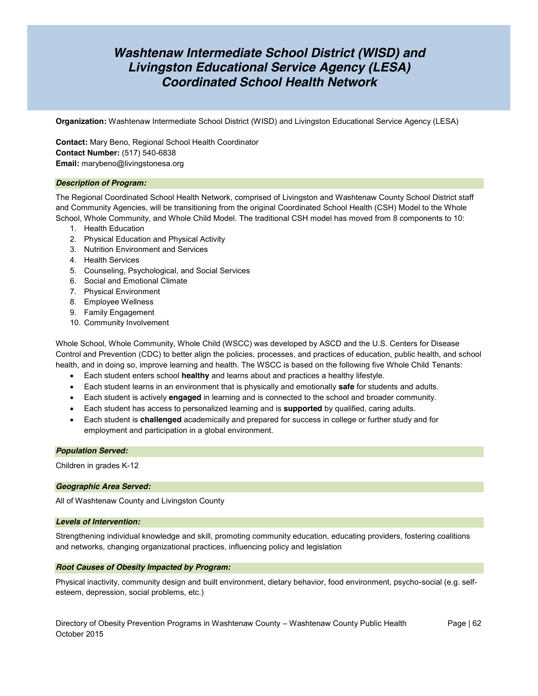### *Washtenaw Intermediate School District (WISD) and Livingston Educational Service Agency (LESA) Coordinated School Health Network*

**Organization:** Washtenaw Intermediate School District (WISD) and Livingston Educational Service Agency (LESA)

**Contact:** Mary Beno, Regional School Health Coordinator **Contact Number:** (517) 540-6838 **Email:** marybeno@livingstonesa.org

#### *Description of Program:*

The Regional Coordinated School Health Network, comprised of Livingston and Washtenaw County School District staff and Community Agencies, will be transitioning from the original Coordinated School Health (CSH) Model to the Whole School, Whole Community, and Whole Child Model. The traditional CSH model has moved from 8 components to 10:

- 1. Health Education
- 2. Physical Education and Physical Activity
- 3. Nutrition Environment and Services
- 4. Health Services
- 5. Counseling, Psychological, and Social Services
- 6. Social and Emotional Climate
- 7. Physical Environment
- 8. Employee Wellness
- 9. Family Engagement
- 10. Community Involvement

Whole School, Whole Community, Whole Child (WSCC) was developed by ASCD and the U.S. Centers for Disease Control and Prevention (CDC) to better align the policies, processes, and practices of education, public health, and school health, and in doing so, improve learning and health. The WSCC is based on the following five Whole Child Tenants:

- Each student enters school **healthy** and learns about and practices a healthy lifestyle.
- **Each student learns in an environment that is physically and emotionally safe for students and adults.**
- **Each student is actively engaged in learning and is connected to the school and broader community.**
- **Each student has access to personalized learning and is <b>supported** by qualified, caring adults.
- x Each student is **challenged** academically and prepared for success in college or further study and for employment and participation in a global environment.

#### *Population Served:*

Children in grades K-12

#### *Geographic Area Served:*

All of Washtenaw County and Livingston County

#### *Levels of Intervention:*

Strengthening individual knowledge and skill, promoting community education, educating providers, fostering coalitions and networks, changing organizational practices, influencing policy and legislation

#### *Root Causes of Obesity Impacted by Program:*

Physical inactivity, community design and built environment, dietary behavior, food environment, psycho-social (e.g. selfesteem, depression, social problems, etc.)

Directory of Obesity Prevention Programs in Washtenaw County – Washtenaw County Public Health Page | 62 October 2015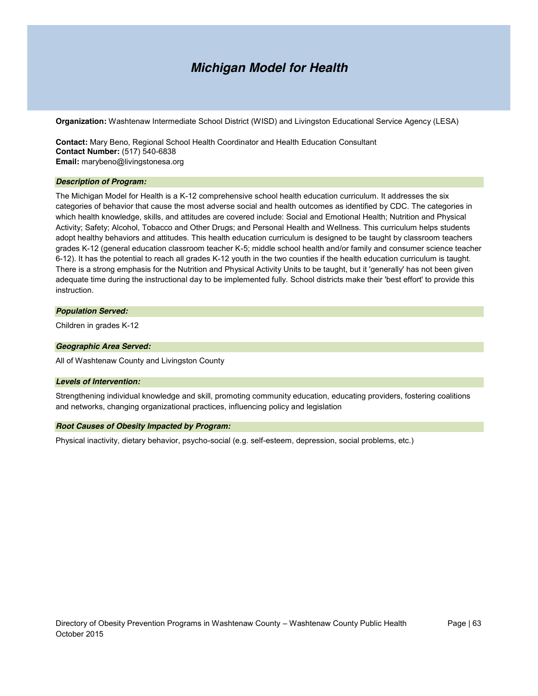### *Michigan Model for Health*

**Organization:** Washtenaw Intermediate School District (WISD) and Livingston Educational Service Agency (LESA)

**Contact:** Mary Beno, Regional School Health Coordinator and Health Education Consultant **Contact Number:** (517) 540-6838 **Email:** marybeno@livingstonesa.org

#### *Description of Program:*

The Michigan Model for Health is a K-12 comprehensive school health education curriculum. It addresses the six categories of behavior that cause the most adverse social and health outcomes as identified by CDC. The categories in which health knowledge, skills, and attitudes are covered include: Social and Emotional Health; Nutrition and Physical Activity; Safety; Alcohol, Tobacco and Other Drugs; and Personal Health and Wellness. This curriculum helps students adopt healthy behaviors and attitudes. This health education curriculum is designed to be taught by classroom teachers grades K-12 (general education classroom teacher K-5; middle school health and/or family and consumer science teacher 6-12). It has the potential to reach all grades K-12 youth in the two counties if the health education curriculum is taught. There is a strong emphasis for the Nutrition and Physical Activity Units to be taught, but it 'generally' has not been given adequate time during the instructional day to be implemented fully. School districts make their 'best effort' to provide this instruction.

#### *Population Served:*

Children in grades K-12

#### *Geographic Area Served:*

All of Washtenaw County and Livingston County

#### *Levels of Intervention:*

Strengthening individual knowledge and skill, promoting community education, educating providers, fostering coalitions and networks, changing organizational practices, influencing policy and legislation

#### *Root Causes of Obesity Impacted by Program:*

Physical inactivity, dietary behavior, psycho-social (e.g. self-esteem, depression, social problems, etc.)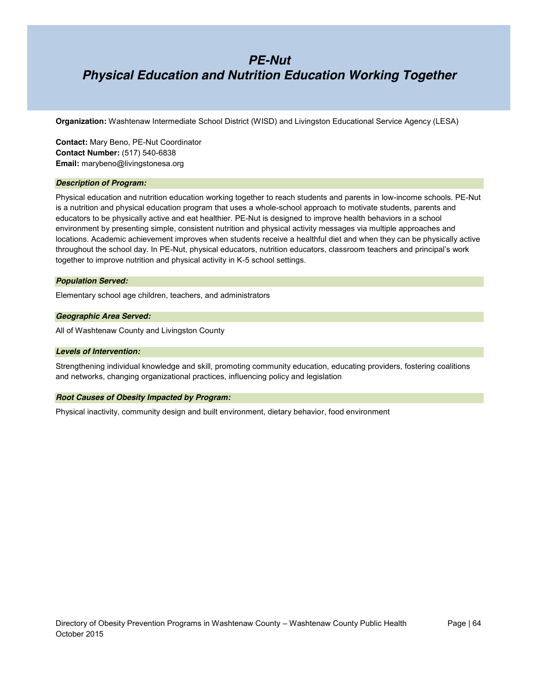### *PE-Nut Physical Education and Nutrition Education Working Together*

**Organization:** Washtenaw Intermediate School District (WISD) and Livingston Educational Service Agency (LESA)

**Contact:** Mary Beno, PE-Nut Coordinator **Contact Number:** (517) 540-6838 **Email:** marybeno@livingstonesa.org

#### *Description of Program:*

Physical education and nutrition education working together to reach students and parents in low-income schools. PE-Nut is a nutrition and physical education program that uses a whole-school approach to motivate students, parents and educators to be physically active and eat healthier. PE-Nut is designed to improve health behaviors in a school environment by presenting simple, consistent nutrition and physical activity messages via multiple approaches and locations. Academic achievement improves when students receive a healthful diet and when they can be physically active throughout the school day. In PE-Nut, physical educators, nutrition educators, classroom teachers and principal's work together to improve nutrition and physical activity in K-5 school settings.

#### *Population Served:*

Elementary school age children, teachers, and administrators

#### *Geographic Area Served:*

All of Washtenaw County and Livingston County

#### *Levels of Intervention:*

Strengthening individual knowledge and skill, promoting community education, educating providers, fostering coalitions and networks, changing organizational practices, influencing policy and legislation

#### *Root Causes of Obesity Impacted by Program:*

Physical inactivity, community design and built environment, dietary behavior, food environment